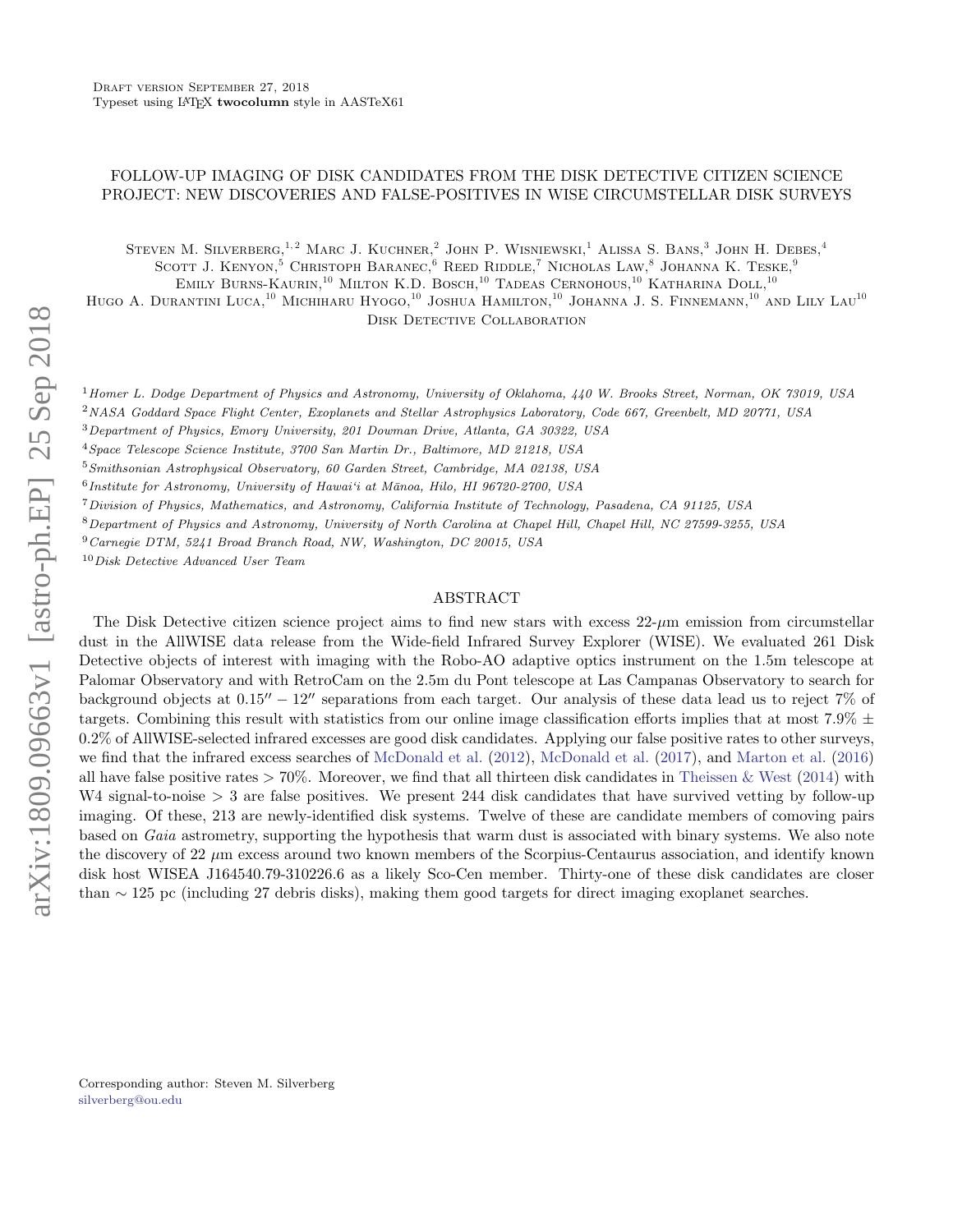# FOLLOW-UP IMAGING OF DISK CANDIDATES FROM THE DISK DETECTIVE CITIZEN SCIENCE PROJECT: NEW DISCOVERIES AND FALSE-POSITIVES IN WISE CIRCUMSTELLAR DISK SURVEYS

STEVEN M. SILVERBERG,<sup>1,2</sup> MARC J. KUCHNER.<sup>2</sup> JOHN P. WISNIEWSKI,<sup>1</sup> ALISSA S. BANS.<sup>3</sup> JOHN H. DEBES.<sup>4</sup> SCOTT J. KENYON.<sup>5</sup> CHRISTOPH BARANEC.<sup>6</sup> REED RIDDLE.<sup>7</sup> NICHOLAS LAW.<sup>8</sup> JOHANNA K. TESKE.<sup>9</sup>

Emily Burns-Kaurin,<sup>10</sup> Milton K.D. Bosch,<sup>10</sup> Tadeas Cernohous,<sup>10</sup> Katharina Doll,<sup>10</sup>

HUGO A. DURANTINI LUCA,<sup>10</sup> MICHIHARU HYOGO,<sup>10</sup> JOSHUA HAMILTON,<sup>10</sup> JOHANNA J. S. FINNEMANN,<sup>10</sup> AND LILY LAU<sup>10</sup> DISK DETECTIVE COLLABORATION

<sup>1</sup> Homer L. Dodge Department of Physics and Astronomy, University of Oklahoma, 440 W. Brooks Street, Norman, OK 73019, USA

<sup>2</sup>NASA Goddard Space Flight Center, Exoplanets and Stellar Astrophysics Laboratory, Code 667, Greenbelt, MD 20771, USA

<sup>3</sup>Department of Physics, Emory University, 201 Dowman Drive, Atlanta, GA 30322, USA

<sup>4</sup>Space Telescope Science Institute, 3700 San Martin Dr., Baltimore, MD 21218, USA

<sup>5</sup>Smithsonian Astrophysical Observatory, 60 Garden Street, Cambridge, MA 02138, USA

<sup>6</sup> Institute for Astronomy, University of Hawai'i at Mānoa, Hilo, HI 96720-2700, USA

<sup>7</sup>Division of Physics, Mathematics, and Astronomy, California Institute of Technology, Pasadena, CA 91125, USA

<sup>8</sup>Department of Physics and Astronomy, University of North Carolina at Chapel Hill, Chapel Hill, NC 27599-3255, USA

<sup>9</sup>Carnegie DTM, 5241 Broad Branch Road, NW, Washington, DC 20015, USA

<sup>10</sup>Disk Detective Advanced User Team

### ABSTRACT

The Disk Detective citizen science project aims to find new stars with excess 22-µm emission from circumstellar dust in the AllWISE data release from the Wide-field Infrared Survey Explorer (WISE). We evaluated 261 Disk Detective objects of interest with imaging with the Robo-AO adaptive optics instrument on the 1.5m telescope at Palomar Observatory and with RetroCam on the 2.5m du Pont telescope at Las Campanas Observatory to search for background objects at  $0.15'' - 12''$  separations from each target. Our analysis of these data lead us to reject 7% of targets. Combining this result with statistics from our online image classification efforts implies that at most 7.9%  $\pm$ 0.2% of AllWISE-selected infrared excesses are good disk candidates. Applying our false positive rates to other surveys, we find that the infrared excess searches of [McDonald et al.](#page-21-0) [\(2012\)](#page-21-0), [McDonald et al.](#page-21-1) [\(2017\)](#page-21-1), and [Marton et al.](#page-21-2) [\(2016\)](#page-21-2) all have false positive rates  $> 70\%$ . Moreover, we find that all thirteen disk candidates in [Theissen & West](#page-21-3) [\(2014\)](#page-21-3) with W4 signal-to-noise > 3 are false positives. We present 244 disk candidates that have survived vetting by follow-up imaging. Of these, 213 are newly-identified disk systems. Twelve of these are candidate members of comoving pairs based on Gaia astrometry, supporting the hypothesis that warm dust is associated with binary systems. We also note the discovery of 22  $\mu$ m excess around two known members of the Scorpius-Centaurus association, and identify known disk host WISEA J164540.79-310226.6 as a likely Sco-Cen member. Thirty-one of these disk candidates are closer than ∼ 125 pc (including 27 debris disks), making them good targets for direct imaging exoplanet searches.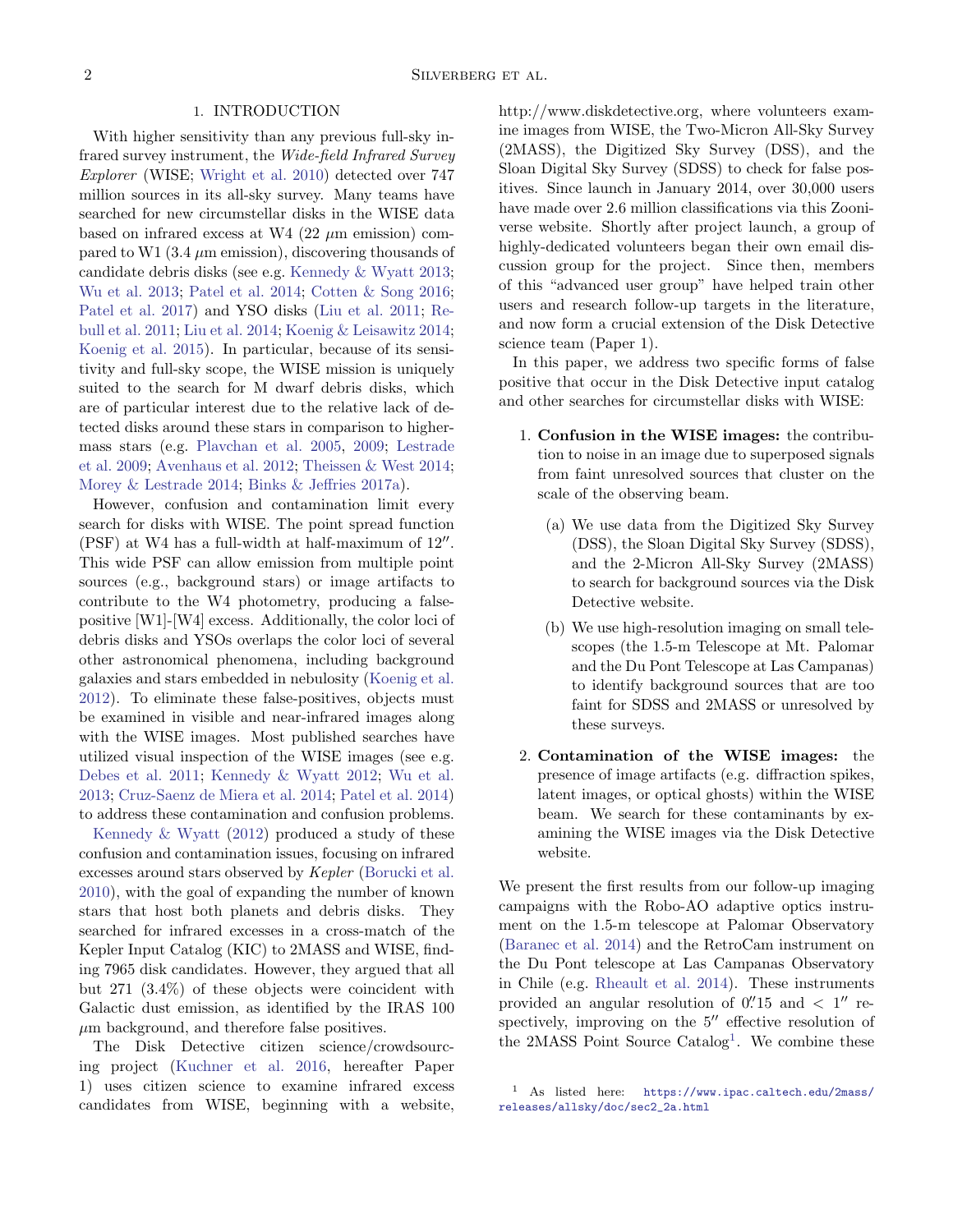## 1. INTRODUCTION

With higher sensitivity than any previous full-sky infrared survey instrument, the Wide-field Infrared Survey Explorer (WISE; [Wright et al.](#page-21-4) [2010\)](#page-21-4) detected over 747 million sources in its all-sky survey. Many teams have searched for new circumstellar disks in the WISE data based on infrared excess at W4  $(22 \mu m)$  emission) compared to W1 (3.4  $\mu$ m emission), discovering thousands of candidate debris disks (see e.g. [Kennedy & Wyatt](#page-20-0) [2013;](#page-20-0) [Wu et al.](#page-21-5) [2013;](#page-21-5) [Patel et al.](#page-21-6) [2014;](#page-21-6) [Cotten & Song](#page-20-1) [2016;](#page-20-1) [Patel et al.](#page-21-7) [2017\)](#page-21-7) and YSO disks [\(Liu et al.](#page-21-8) [2011;](#page-21-8) [Re](#page-21-9)[bull et al.](#page-21-9) [2011;](#page-21-9) [Liu et al.](#page-21-10) [2014;](#page-21-10) [Koenig & Leisawitz](#page-21-11) [2014;](#page-21-11) [Koenig et al.](#page-20-2) [2015\)](#page-20-2). In particular, because of its sensitivity and full-sky scope, the WISE mission is uniquely suited to the search for M dwarf debris disks, which are of particular interest due to the relative lack of detected disks around these stars in comparison to highermass stars (e.g. [Plavchan et al.](#page-21-12) [2005,](#page-21-12) [2009;](#page-21-13) [Lestrade](#page-21-14) [et al.](#page-21-14) [2009;](#page-21-14) [Avenhaus et al.](#page-20-3) [2012;](#page-20-3) [Theissen & West](#page-21-3) [2014;](#page-21-3) [Morey & Lestrade](#page-21-15) [2014;](#page-21-15) [Binks & Jeffries](#page-20-4) [2017a\)](#page-20-4).

However, confusion and contamination limit every search for disks with WISE. The point spread function (PSF) at W4 has a full-width at half-maximum of  $12''$ . This wide PSF can allow emission from multiple point sources (e.g., background stars) or image artifacts to contribute to the W4 photometry, producing a falsepositive [W1]-[W4] excess. Additionally, the color loci of debris disks and YSOs overlaps the color loci of several other astronomical phenomena, including background galaxies and stars embedded in nebulosity [\(Koenig et al.](#page-21-16) [2012\)](#page-21-16). To eliminate these false-positives, objects must be examined in visible and near-infrared images along with the WISE images. Most published searches have utilized visual inspection of the WISE images (see e.g. [Debes et al.](#page-20-5) [2011;](#page-20-5) [Kennedy & Wyatt](#page-20-6) [2012;](#page-20-6) [Wu et al.](#page-21-5) [2013;](#page-21-5) [Cruz-Saenz de Miera et al.](#page-20-7) [2014;](#page-20-7) [Patel et al.](#page-21-6) [2014\)](#page-21-6) to address these contamination and confusion problems.

[Kennedy & Wyatt](#page-20-6) [\(2012\)](#page-20-6) produced a study of these confusion and contamination issues, focusing on infrared excesses around stars observed by Kepler [\(Borucki et al.](#page-20-8) [2010\)](#page-20-8), with the goal of expanding the number of known stars that host both planets and debris disks. They searched for infrared excesses in a cross-match of the Kepler Input Catalog (KIC) to 2MASS and WISE, finding 7965 disk candidates. However, they argued that all but 271 (3.4%) of these objects were coincident with Galactic dust emission, as identified by the IRAS 100  $\mu$ m background, and therefore false positives.

The Disk Detective citizen science/crowdsourcing project [\(Kuchner et al.](#page-21-17) [2016,](#page-21-17) hereafter Paper 1) uses citizen science to examine infrared excess candidates from WISE, beginning with a website, http://www.diskdetective.org, where volunteers examine images from WISE, the Two-Micron All-Sky Survey (2MASS), the Digitized Sky Survey (DSS), and the Sloan Digital Sky Survey (SDSS) to check for false positives. Since launch in January 2014, over 30,000 users have made over 2.6 million classifications via this Zooniverse website. Shortly after project launch, a group of highly-dedicated volunteers began their own email discussion group for the project. Since then, members of this "advanced user group" have helped train other users and research follow-up targets in the literature, and now form a crucial extension of the Disk Detective science team (Paper 1).

In this paper, we address two specific forms of false positive that occur in the Disk Detective input catalog and other searches for circumstellar disks with WISE:

- 1. Confusion in the WISE images: the contribution to noise in an image due to superposed signals from faint unresolved sources that cluster on the scale of the observing beam.
	- (a) We use data from the Digitized Sky Survey (DSS), the Sloan Digital Sky Survey (SDSS), and the 2-Micron All-Sky Survey (2MASS) to search for background sources via the Disk Detective website.
	- (b) We use high-resolution imaging on small telescopes (the 1.5-m Telescope at Mt. Palomar and the Du Pont Telescope at Las Campanas) to identify background sources that are too faint for SDSS and 2MASS or unresolved by these surveys.
- 2. Contamination of the WISE images: the presence of image artifacts (e.g. diffraction spikes, latent images, or optical ghosts) within the WISE beam. We search for these contaminants by examining the WISE images via the Disk Detective website.

We present the first results from our follow-up imaging campaigns with the Robo-AO adaptive optics instrument on the 1.5-m telescope at Palomar Observatory [\(Baranec et al.](#page-20-9) [2014\)](#page-20-9) and the RetroCam instrument on the Du Pont telescope at Las Campanas Observatory in Chile (e.g. [Rheault et al.](#page-21-18) [2014\)](#page-21-18). These instruments provided an angular resolution of  $0''$ 15 and  $\lt$  1<sup>"</sup> respectively, improving on the  $5$ <sup>"</sup> effective resolution of the 2MASS Point Source Catalog<sup>[1](#page-1-0)</sup>. We combine these

<span id="page-1-0"></span><sup>1</sup> As listed here: [https://www.ipac.caltech.edu/2mass/](https://www.ipac.caltech.edu/2mass/releases/allsky/doc/sec2_2a.html) [releases/allsky/doc/sec2\\_2a.html](https://www.ipac.caltech.edu/2mass/releases/allsky/doc/sec2_2a.html)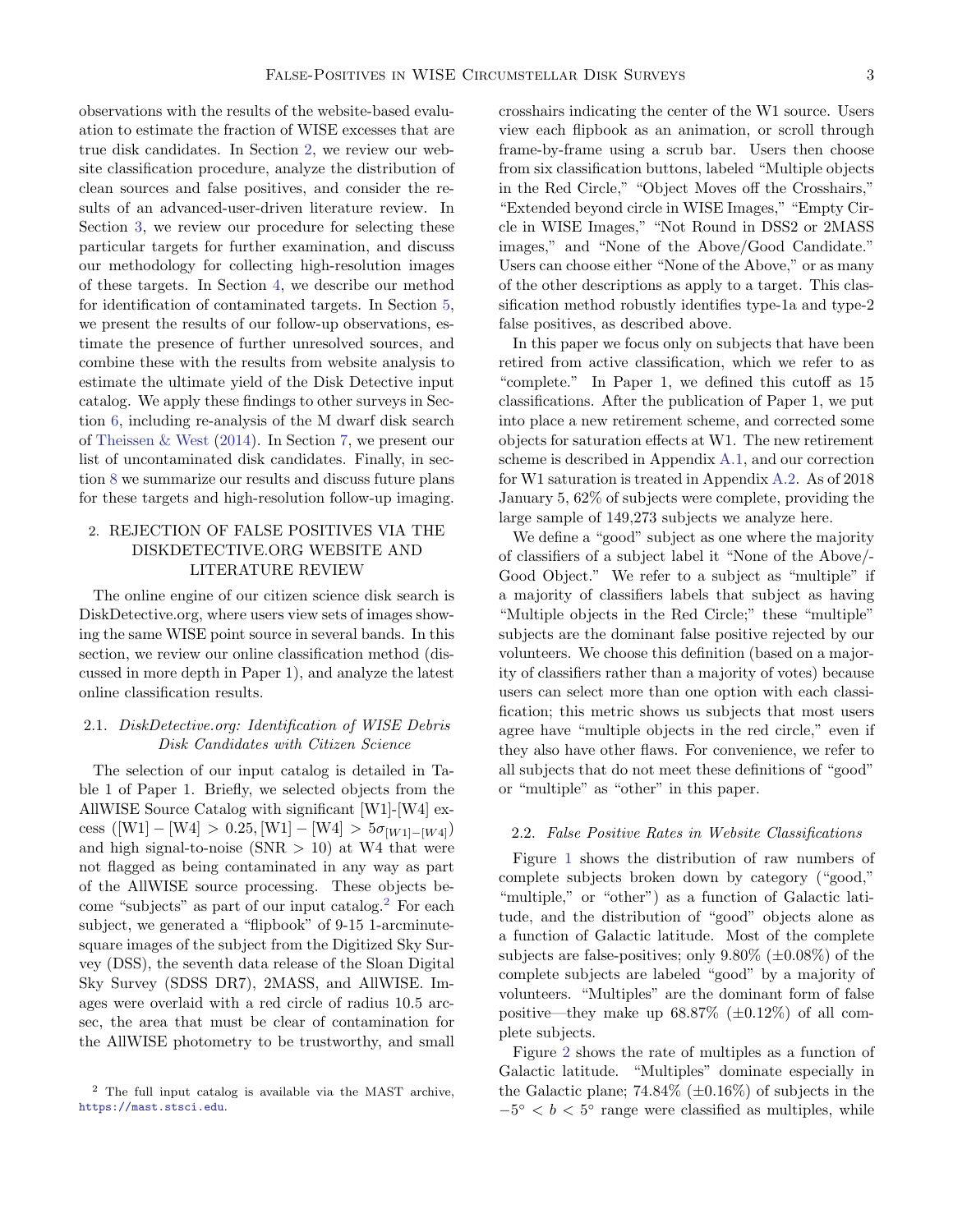observations with the results of the website-based evaluation to estimate the fraction of WISE excesses that are true disk candidates. In Section [2,](#page-2-0) we review our website classification procedure, analyze the distribution of clean sources and false positives, and consider the results of an advanced-user-driven literature review. In Section [3,](#page-4-0) we review our procedure for selecting these particular targets for further examination, and discuss our methodology for collecting high-resolution images of these targets. In Section [4,](#page-5-0) we describe our method for identification of contaminated targets. In Section [5,](#page-5-1) we present the results of our follow-up observations, estimate the presence of further unresolved sources, and combine these with the results from website analysis to estimate the ultimate yield of the Disk Detective input catalog. We apply these findings to other surveys in Section [6,](#page-7-0) including re-analysis of the M dwarf disk search of [Theissen & West](#page-21-3) [\(2014\)](#page-21-3). In Section [7,](#page-9-0) we present our list of uncontaminated disk candidates. Finally, in section [8](#page-14-0) we summarize our results and discuss future plans for these targets and high-resolution follow-up imaging.

# <span id="page-2-0"></span>2. REJECTION OF FALSE POSITIVES VIA THE DISKDETECTIVE.ORG WEBSITE AND LITERATURE REVIEW

The online engine of our citizen science disk search is DiskDetective.org, where users view sets of images showing the same WISE point source in several bands. In this section, we review our online classification method (discussed in more depth in Paper 1), and analyze the latest online classification results.

# 2.1. DiskDetective.org: Identification of WISE Debris Disk Candidates with Citizen Science

The selection of our input catalog is detailed in Table 1 of Paper 1. Briefly, we selected objects from the AllWISE Source Catalog with significant [W1]-[W4] excess ([W1] – [W4] > 0.25, [W1] – [W4] >  $5\sigma_{[W1]-[W4]}$ ) and high signal-to-noise  $(SNR > 10)$  at W4 that were not flagged as being contaminated in any way as part of the AllWISE source processing. These objects become "subjects" as part of our input catalog.[2](#page-2-1) For each subject, we generated a "flipbook" of 9-15 1-arcminutesquare images of the subject from the Digitized Sky Survey (DSS), the seventh data release of the Sloan Digital Sky Survey (SDSS DR7), 2MASS, and AllWISE. Images were overlaid with a red circle of radius 10.5 arcsec, the area that must be clear of contamination for the AllWISE photometry to be trustworthy, and small

crosshairs indicating the center of the W1 source. Users view each flipbook as an animation, or scroll through frame-by-frame using a scrub bar. Users then choose from six classification buttons, labeled "Multiple objects in the Red Circle," "Object Moves off the Crosshairs," "Extended beyond circle in WISE Images," "Empty Circle in WISE Images," "Not Round in DSS2 or 2MASS images," and "None of the Above/Good Candidate." Users can choose either "None of the Above," or as many of the other descriptions as apply to a target. This classification method robustly identifies type-1a and type-2 false positives, as described above.

In this paper we focus only on subjects that have been retired from active classification, which we refer to as "complete." In Paper 1, we defined this cutoff as 15 classifications. After the publication of Paper 1, we put into place a new retirement scheme, and corrected some objects for saturation effects at W1. The new retirement scheme is described in Appendix [A.1,](#page-16-0) and our correction for W1 saturation is treated in Appendix [A.2.](#page-16-1) As of 2018 January 5, 62% of subjects were complete, providing the large sample of 149,273 subjects we analyze here.

We define a "good" subject as one where the majority of classifiers of a subject label it "None of the Above/- Good Object." We refer to a subject as "multiple" if a majority of classifiers labels that subject as having "Multiple objects in the Red Circle;" these "multiple" subjects are the dominant false positive rejected by our volunteers. We choose this definition (based on a majority of classifiers rather than a majority of votes) because users can select more than one option with each classification; this metric shows us subjects that most users agree have "multiple objects in the red circle," even if they also have other flaws. For convenience, we refer to all subjects that do not meet these definitions of "good" or "multiple" as "other" in this paper.

#### 2.2. False Positive Rates in Website Classifications

Figure [1](#page-3-0) shows the distribution of raw numbers of complete subjects broken down by category ("good," "multiple," or "other") as a function of Galactic latitude, and the distribution of "good" objects alone as a function of Galactic latitude. Most of the complete subjects are false-positives; only  $9.80\%$  ( $\pm 0.08\%$ ) of the complete subjects are labeled "good" by a majority of volunteers. "Multiples" are the dominant form of false positive—they make up  $68.87\%$  ( $\pm 0.12\%$ ) of all complete subjects.

Figure [2](#page-3-1) shows the rate of multiples as a function of Galactic latitude. "Multiples" dominate especially in the Galactic plane;  $74.84\%$  ( $\pm 0.16\%$ ) of subjects in the  $-5^{\circ} < b < 5^{\circ}$  range were classified as multiples, while

<span id="page-2-1"></span><sup>2</sup> The full input catalog is available via the MAST archive, <https://mast.stsci.edu>.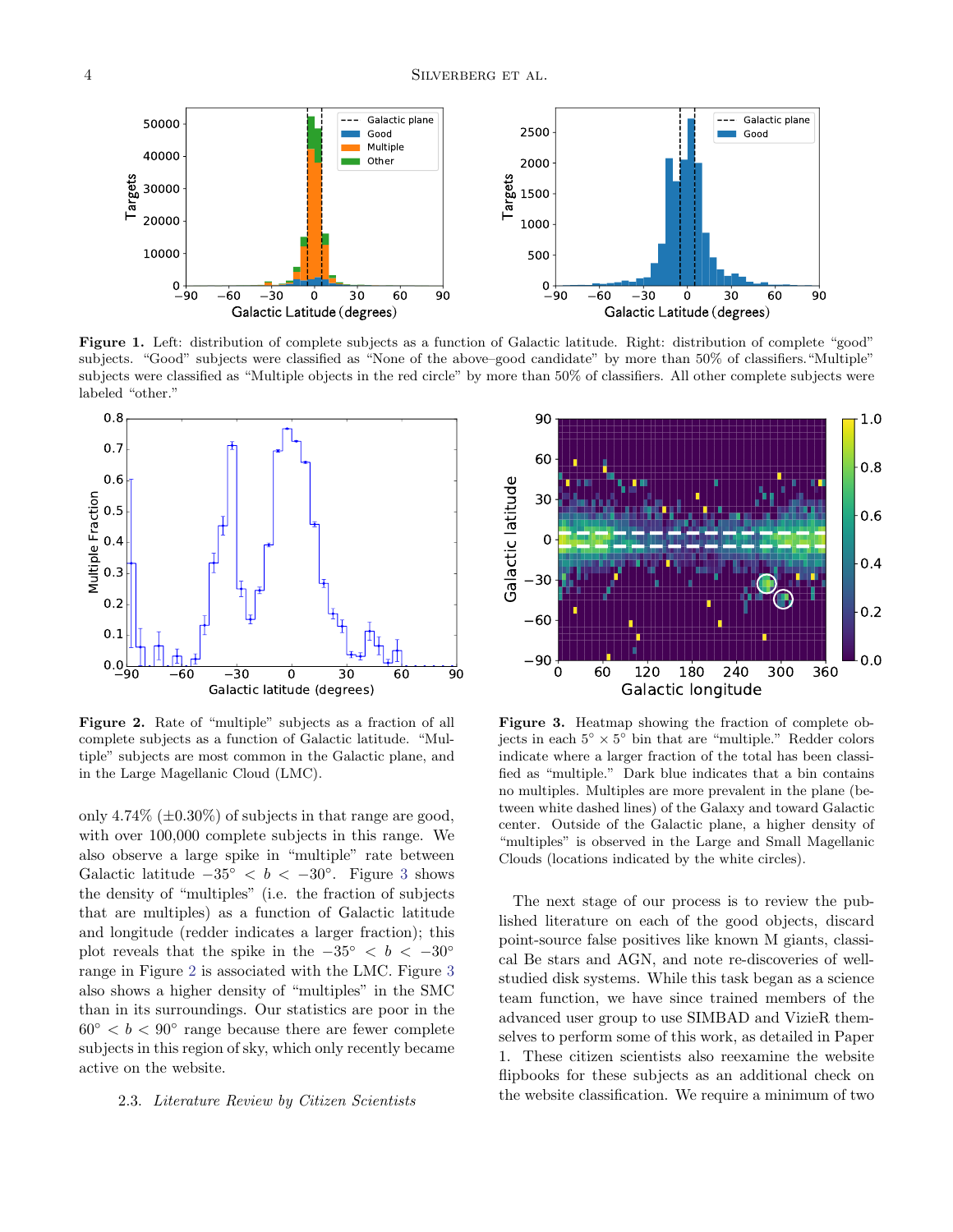

<span id="page-3-0"></span>Figure 1. Left: distribution of complete subjects as a function of Galactic latitude. Right: distribution of complete "good" subjects. "Good" subjects were classified as "None of the above–good candidate" by more than 50% of classifiers."Multiple" subjects were classified as "Multiple objects in the red circle" by more than 50% of classifiers. All other complete subjects were labeled "other."



<span id="page-3-1"></span>Figure 2. Rate of "multiple" subjects as a fraction of all complete subjects as a function of Galactic latitude. "Multiple" subjects are most common in the Galactic plane, and in the Large Magellanic Cloud (LMC).

only 4.74\%  $(\pm 0.30\%)$  of subjects in that range are good, with over 100,000 complete subjects in this range. We also observe a large spike in "multiple" rate between Galactic latitude  $-35° < b < -30°$  $-35° < b < -30°$  $-35° < b < -30°$ . Figure 3 shows the density of "multiples" (i.e. the fraction of subjects that are multiples) as a function of Galactic latitude and longitude (redder indicates a larger fraction); this plot reveals that the spike in the  $-35° < b < -30°$ range in Figure [2](#page-3-1) is associated with the LMC. Figure [3](#page-3-2) also shows a higher density of "multiples" in the SMC than in its surroundings. Our statistics are poor in the  $60^{\circ} < b < 90^{\circ}$  range because there are fewer complete subjects in this region of sky, which only recently became active on the website.

## 2.3. Literature Review by Citizen Scientists



<span id="page-3-2"></span>Figure 3. Heatmap showing the fraction of complete objects in each  $5^\circ \times 5^\circ$  bin that are "multiple." Redder colors indicate where a larger fraction of the total has been classified as "multiple." Dark blue indicates that a bin contains no multiples. Multiples are more prevalent in the plane (between white dashed lines) of the Galaxy and toward Galactic center. Outside of the Galactic plane, a higher density of "multiples" is observed in the Large and Small Magellanic Clouds (locations indicated by the white circles).

The next stage of our process is to review the published literature on each of the good objects, discard point-source false positives like known M giants, classical Be stars and AGN, and note re-discoveries of wellstudied disk systems. While this task began as a science team function, we have since trained members of the advanced user group to use SIMBAD and VizieR themselves to perform some of this work, as detailed in Paper 1. These citizen scientists also reexamine the website flipbooks for these subjects as an additional check on the website classification. We require a minimum of two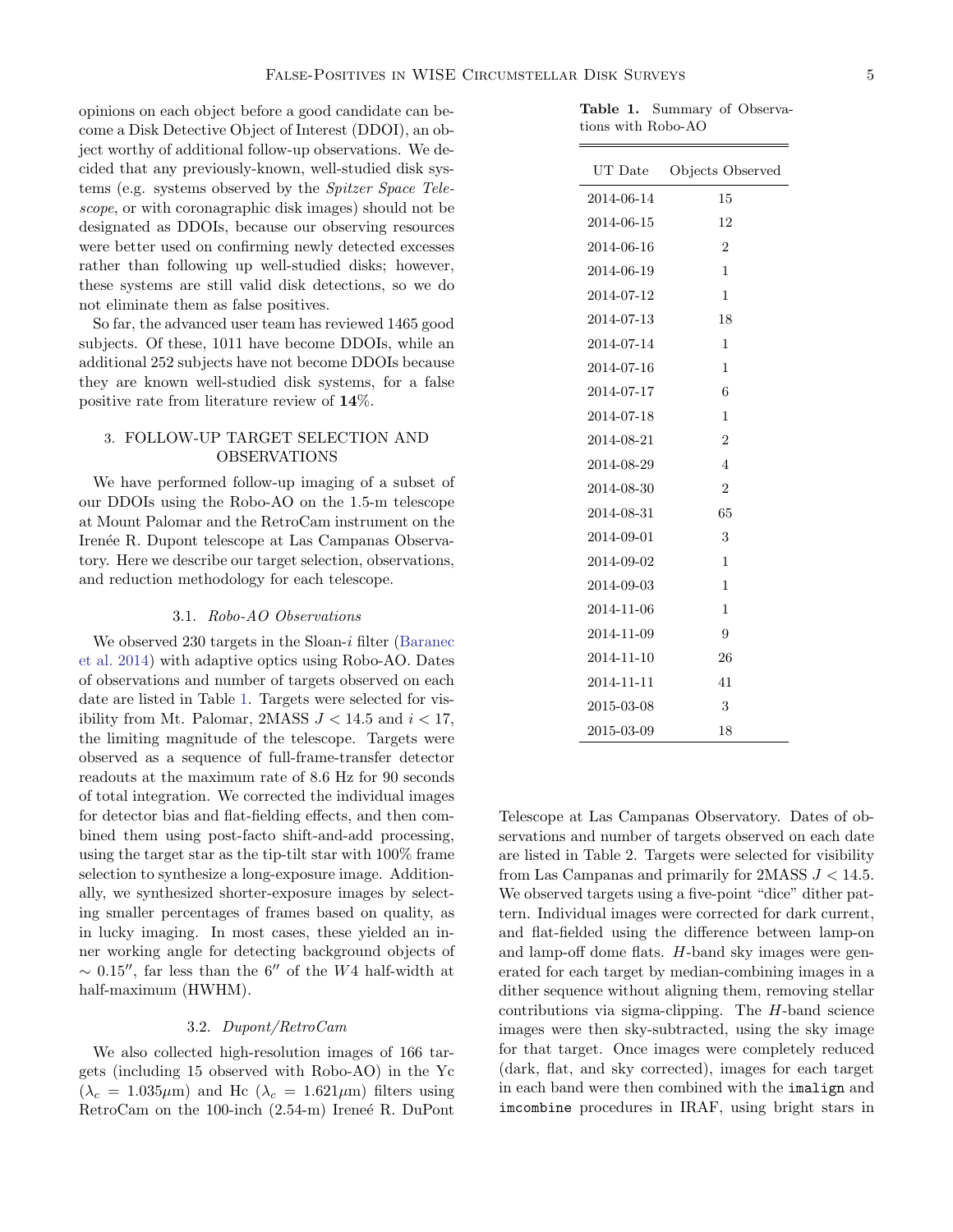opinions on each object before a good candidate can become a Disk Detective Object of Interest (DDOI), an object worthy of additional follow-up observations. We decided that any previously-known, well-studied disk systems (e.g. systems observed by the Spitzer Space Telescope, or with coronagraphic disk images) should not be designated as DDOIs, because our observing resources were better used on confirming newly detected excesses rather than following up well-studied disks; however, these systems are still valid disk detections, so we do not eliminate them as false positives.

So far, the advanced user team has reviewed 1465 good subjects. Of these, 1011 have become DDOIs, while an additional 252 subjects have not become DDOIs because they are known well-studied disk systems, for a false positive rate from literature review of 14%.

## <span id="page-4-0"></span>3. FOLLOW-UP TARGET SELECTION AND OBSERVATIONS

We have performed follow-up imaging of a subset of our DDOIs using the Robo-AO on the 1.5-m telescope at Mount Palomar and the RetroCam instrument on the Irenée R. Dupont telescope at Las Campanas Observatory. Here we describe our target selection, observations, and reduction methodology for each telescope.

### 3.1. Robo-AO Observations

We observed  $230$  targets in the Sloan-i filter [\(Baranec](#page-20-9) [et al.](#page-20-9) [2014\)](#page-20-9) with adaptive optics using Robo-AO. Dates of observations and number of targets observed on each date are listed in Table [1.](#page-4-1) Targets were selected for visibility from Mt. Palomar, 2MASS  $J < 14.5$  and  $i < 17$ , the limiting magnitude of the telescope. Targets were observed as a sequence of full-frame-transfer detector readouts at the maximum rate of 8.6 Hz for 90 seconds of total integration. We corrected the individual images for detector bias and flat-fielding effects, and then combined them using post-facto shift-and-add processing, using the target star as the tip-tilt star with 100% frame selection to synthesize a long-exposure image. Additionally, we synthesized shorter-exposure images by selecting smaller percentages of frames based on quality, as in lucky imaging. In most cases, these yielded an inner working angle for detecting background objects of  $\sim 0.15''$ , far less than the 6<sup>00</sup> of the W4 half-width at half-maximum (HWHM).

## 3.2. Dupont/RetroCam

We also collected high-resolution images of 166 targets (including 15 observed with Robo-AO) in the Yc  $(\lambda_c = 1.035 \mu m)$  and Hc  $(\lambda_c = 1.621 \mu m)$  filters using RetroCam on the 100-inch  $(2.54-m)$  Ireneé R. DuPont

<span id="page-4-1"></span>Table 1. Summary of Observations with Robo-AO

| UT Date    | Objects Observed |
|------------|------------------|
| 2014-06-14 | 15               |
| 2014-06-15 | 12               |
| 2014-06-16 | $\overline{2}$   |
| 2014-06-19 | 1                |
| 2014-07-12 | 1                |
| 2014-07-13 | 18               |
| 2014-07-14 | 1                |
| 2014-07-16 | 1                |
| 2014-07-17 | 6                |
| 2014-07-18 | 1                |
| 2014-08-21 | $\overline{2}$   |
| 2014-08-29 | 4                |
| 2014-08-30 | $\overline{2}$   |
| 2014-08-31 | 65               |
| 2014-09-01 | 3                |
| 2014-09-02 | 1                |
| 2014-09-03 | 1                |
| 2014-11-06 | 1                |
| 2014-11-09 | 9                |
| 2014-11-10 | 26               |
| 2014-11-11 | 41               |
| 2015-03-08 | 3                |
| 2015-03-09 | 18               |

Telescope at Las Campanas Observatory. Dates of observations and number of targets observed on each date are listed in Table 2. Targets were selected for visibility from Las Campanas and primarily for 2MASS  $J < 14.5$ . We observed targets using a five-point "dice" dither pattern. Individual images were corrected for dark current, and flat-fielded using the difference between lamp-on and lamp-off dome flats. H-band sky images were generated for each target by median-combining images in a dither sequence without aligning them, removing stellar contributions via sigma-clipping. The  $H$ -band science images were then sky-subtracted, using the sky image for that target. Once images were completely reduced (dark, flat, and sky corrected), images for each target in each band were then combined with the imalign and imcombine procedures in IRAF, using bright stars in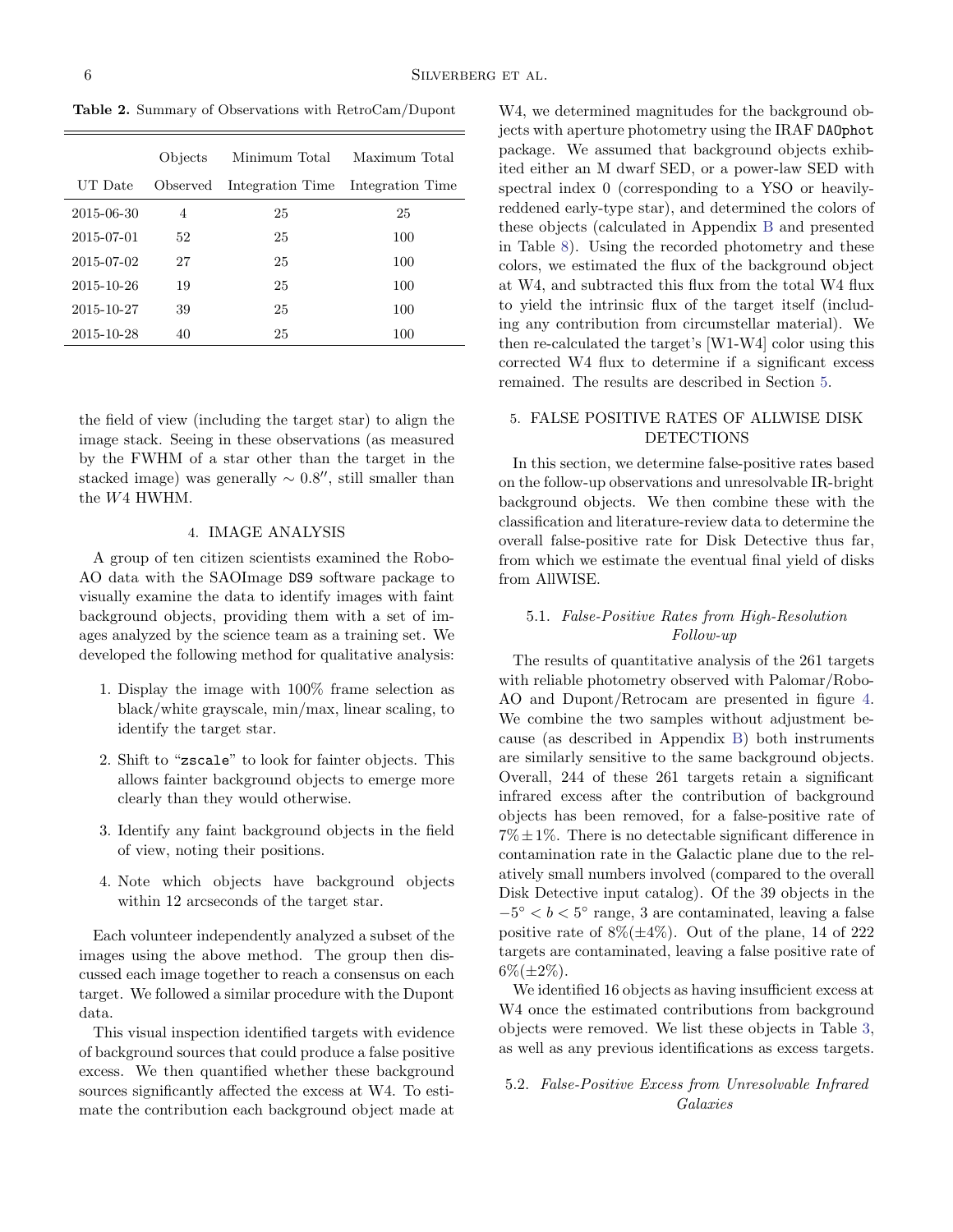Table 2. Summary of Observations with RetroCam/Dupont

|            | Objects  | Minimum Total    | Maximum Total    |
|------------|----------|------------------|------------------|
| UT Date    | Observed | Integration Time | Integration Time |
| 2015-06-30 | 4        | 25               | 25               |
| 2015-07-01 | 52       | 25               | 100              |
| 2015-07-02 | 27       | 25               | 100              |
| 2015-10-26 | 19       | 25               | 100              |
| 2015-10-27 | 39       | 25               | 100              |
| 2015-10-28 | 40       | 25               | 100              |

the field of view (including the target star) to align the image stack. Seeing in these observations (as measured by the FWHM of a star other than the target in the stacked image) was generally  $\sim 0.8''$ , still smaller than the W4 HWHM.

### 4. IMAGE ANALYSIS

<span id="page-5-0"></span>A group of ten citizen scientists examined the Robo-AO data with the SAOImage DS9 software package to visually examine the data to identify images with faint background objects, providing them with a set of images analyzed by the science team as a training set. We developed the following method for qualitative analysis:

- 1. Display the image with 100% frame selection as black/white grayscale, min/max, linear scaling, to identify the target star.
- 2. Shift to "zscale" to look for fainter objects. This allows fainter background objects to emerge more clearly than they would otherwise.
- 3. Identify any faint background objects in the field of view, noting their positions.
- 4. Note which objects have background objects within 12 arcseconds of the target star.

Each volunteer independently analyzed a subset of the images using the above method. The group then discussed each image together to reach a consensus on each target. We followed a similar procedure with the Dupont data.

This visual inspection identified targets with evidence of background sources that could produce a false positive excess. We then quantified whether these background sources significantly affected the excess at W4. To estimate the contribution each background object made at

W4, we determined magnitudes for the background objects with aperture photometry using the IRAF DAOphot package. We assumed that background objects exhibited either an M dwarf SED, or a power-law SED with spectral index 0 (corresponding to a YSO or heavilyreddened early-type star), and determined the colors of these objects (calculated in Appendix [B](#page-16-2) and presented in Table [8\)](#page-17-0). Using the recorded photometry and these colors, we estimated the flux of the background object at W4, and subtracted this flux from the total W4 flux to yield the intrinsic flux of the target itself (including any contribution from circumstellar material). We then re-calculated the target's [W1-W4] color using this corrected W4 flux to determine if a significant excess remained. The results are described in Section [5.](#page-5-1)

# <span id="page-5-1"></span>5. FALSE POSITIVE RATES OF ALLWISE DISK DETECTIONS

In this section, we determine false-positive rates based on the follow-up observations and unresolvable IR-bright background objects. We then combine these with the classification and literature-review data to determine the overall false-positive rate for Disk Detective thus far, from which we estimate the eventual final yield of disks from AllWISE.

## 5.1. False-Positive Rates from High-Resolution Follow-up

The results of quantitative analysis of the 261 targets with reliable photometry observed with Palomar/Robo-AO and Dupont/Retrocam are presented in figure [4.](#page-6-0) We combine the two samples without adjustment because (as described in Appendix [B\)](#page-16-2) both instruments are similarly sensitive to the same background objects. Overall, 244 of these 261 targets retain a significant infrared excess after the contribution of background objects has been removed, for a false-positive rate of  $7\% \pm 1\%$ . There is no detectable significant difference in contamination rate in the Galactic plane due to the relatively small numbers involved (compared to the overall Disk Detective input catalog). Of the 39 objects in the  $-5^{\circ} < b < 5^{\circ}$  range, 3 are contaminated, leaving a false positive rate of  $8\%(\pm 4\%)$ . Out of the plane, 14 of 222 targets are contaminated, leaving a false positive rate of  $6\%(\pm 2\%)$ .

We identified 16 objects as having insufficient excess at W4 once the estimated contributions from background objects were removed. We list these objects in Table [3,](#page-6-1) as well as any previous identifications as excess targets.

## <span id="page-5-2"></span>5.2. False-Positive Excess from Unresolvable Infrared Galaxies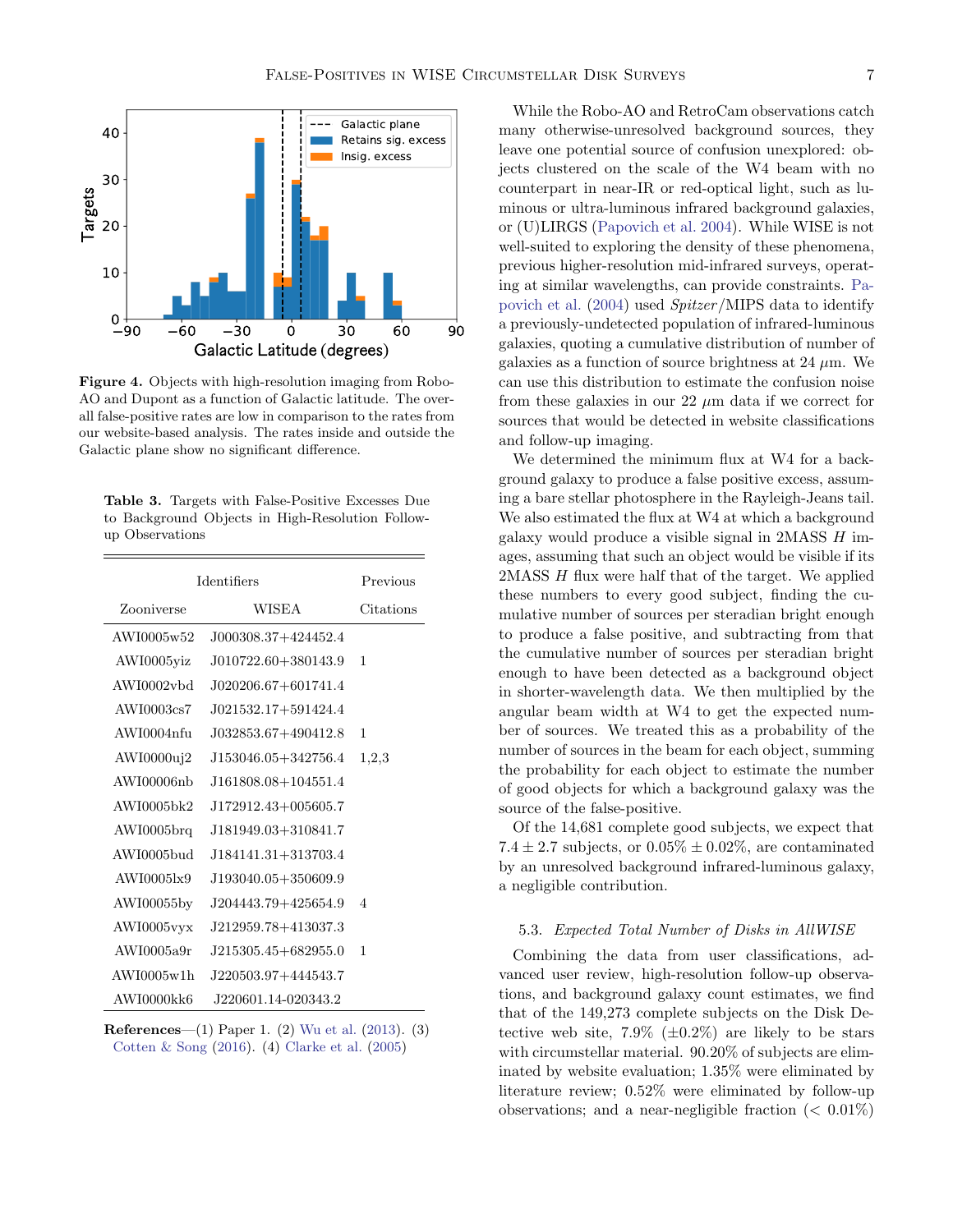

<span id="page-6-0"></span>Figure 4. Objects with high-resolution imaging from Robo-AO and Dupont as a function of Galactic latitude. The overall false-positive rates are low in comparison to the rates from our website-based analysis. The rates inside and outside the Galactic plane show no significant difference.

<span id="page-6-1"></span>

|  |                 |  |                                                  | <b>Table 3.</b> Targets with False-Positive Excesses Due |  |
|--|-----------------|--|--------------------------------------------------|----------------------------------------------------------|--|
|  |                 |  | to Background Objects in High-Resolution Follow- |                                                          |  |
|  | up Observations |  |                                                  |                                                          |  |

| <b>Identifiers</b> | Previous                |                |
|--------------------|-------------------------|----------------|
| Zooniverse         | WISEA                   | Citations      |
| AWI0005w52         | J000308.37+424452.4     |                |
| AWI0005yiz         | J010722.60+380143.9     | 1              |
| AWI0002vbd         | $J020206.67 + 601741.4$ |                |
| AWI0003cs7         | J021532.17+591424.4     |                |
| AWI0004nfu         | J032853.67+490412.8     | 1              |
| AWI0000uj2         | J153046.05+342756.4     | 1,2,3          |
| AWI00006nb         | J161808.08+104551.4     |                |
| AWI0005bk2         | J172912.43+005605.7     |                |
| $AWI0005$ brq      | J181949.03+310841.7     |                |
| AWI0005bud         | J184141.31+313703.4     |                |
| AWI00051x9         | J193040.05+350609.9     |                |
| AWI00055by         | J204443.79+425654.9     | $\overline{4}$ |
| AWI0005vyx         | J212959.78+413037.3     |                |
| AWI0005a9r         | $J215305.45 + 682955.0$ | 1              |
| AWI0005w1h         | J220503.97+444543.7     |                |
| AWI0000kk6         | J220601.14-020343.2     |                |

References—(1) Paper 1. (2) [Wu et al.](#page-21-5) [\(2013\)](#page-21-5). (3) [Cotten & Song](#page-20-1) [\(2016\)](#page-20-1). (4) [Clarke et al.](#page-20-10) [\(2005\)](#page-20-10)

While the Robo-AO and RetroCam observations catch many otherwise-unresolved background sources, they leave one potential source of confusion unexplored: objects clustered on the scale of the W4 beam with no counterpart in near-IR or red-optical light, such as luminous or ultra-luminous infrared background galaxies, or (U)LIRGS [\(Papovich et al.](#page-21-19) [2004\)](#page-21-19). While WISE is not well-suited to exploring the density of these phenomena, previous higher-resolution mid-infrared surveys, operating at similar wavelengths, can provide constraints. [Pa](#page-21-19)[povich et al.](#page-21-19) [\(2004\)](#page-21-19) used Spitzer/MIPS data to identify a previously-undetected population of infrared-luminous galaxies, quoting a cumulative distribution of number of galaxies as a function of source brightness at  $24 \mu$ m. We can use this distribution to estimate the confusion noise from these galaxies in our 22  $\mu$ m data if we correct for sources that would be detected in website classifications and follow-up imaging.

We determined the minimum flux at W4 for a background galaxy to produce a false positive excess, assuming a bare stellar photosphere in the Rayleigh-Jeans tail. We also estimated the flux at W4 at which a background galaxy would produce a visible signal in 2MASS H images, assuming that such an object would be visible if its 2MASS H flux were half that of the target. We applied these numbers to every good subject, finding the cumulative number of sources per steradian bright enough to produce a false positive, and subtracting from that the cumulative number of sources per steradian bright enough to have been detected as a background object in shorter-wavelength data. We then multiplied by the angular beam width at W4 to get the expected number of sources. We treated this as a probability of the number of sources in the beam for each object, summing the probability for each object to estimate the number of good objects for which a background galaxy was the source of the false-positive.

Of the 14,681 complete good subjects, we expect that 7.4  $\pm$  2.7 subjects, or 0.05%  $\pm$  0.02%, are contaminated by an unresolved background infrared-luminous galaxy, a negligible contribution.

## 5.3. Expected Total Number of Disks in AllWISE

Combining the data from user classifications, advanced user review, high-resolution follow-up observations, and background galaxy count estimates, we find that of the 149,273 complete subjects on the Disk Detective web site,  $7.9\%$  ( $\pm 0.2\%$ ) are likely to be stars with circumstellar material. 90.20% of subjects are eliminated by website evaluation; 1.35% were eliminated by literature review; 0.52% were eliminated by follow-up observations; and a near-negligible fraction  $( $0.01\%$ )$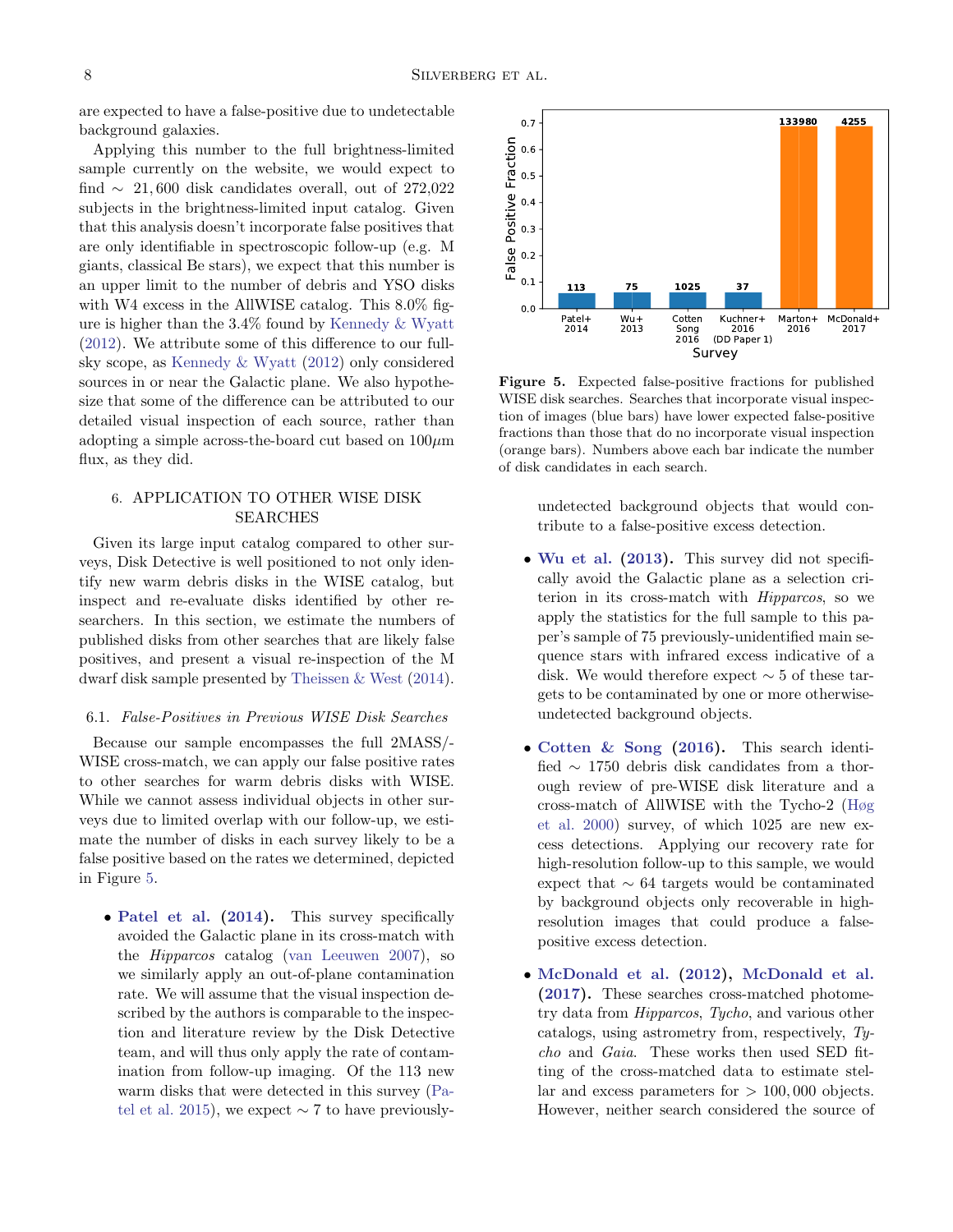are expected to have a false-positive due to undetectable background galaxies.

Applying this number to the full brightness-limited sample currently on the website, we would expect to find  $\sim$  21,600 disk candidates overall, out of 272,022 subjects in the brightness-limited input catalog. Given that this analysis doesn't incorporate false positives that are only identifiable in spectroscopic follow-up (e.g. M giants, classical Be stars), we expect that this number is an upper limit to the number of debris and YSO disks with W4 excess in the AllWISE catalog. This 8.0% figure is higher than the 3.4% found by [Kennedy & Wyatt](#page-20-6) [\(2012\)](#page-20-6). We attribute some of this difference to our fullsky scope, as [Kennedy & Wyatt](#page-20-6) [\(2012\)](#page-20-6) only considered sources in or near the Galactic plane. We also hypothesize that some of the difference can be attributed to our detailed visual inspection of each source, rather than adopting a simple across-the-board cut based on  $100 \mu m$ flux, as they did.

# <span id="page-7-0"></span>6. APPLICATION TO OTHER WISE DISK SEARCHES

Given its large input catalog compared to other surveys, Disk Detective is well positioned to not only identify new warm debris disks in the WISE catalog, but inspect and re-evaluate disks identified by other researchers. In this section, we estimate the numbers of published disks from other searches that are likely false positives, and present a visual re-inspection of the M dwarf disk sample presented by [Theissen & West](#page-21-3) [\(2014\)](#page-21-3).

## 6.1. False-Positives in Previous WISE Disk Searches

Because our sample encompasses the full 2MASS/- WISE cross-match, we can apply our false positive rates to other searches for warm debris disks with WISE. While we cannot assess individual objects in other surveys due to limited overlap with our follow-up, we estimate the number of disks in each survey likely to be a false positive based on the rates we determined, depicted in Figure [5.](#page-7-1)

• [Patel et al.](#page-21-6) [\(2014\)](#page-21-6). This survey specifically avoided the Galactic plane in its cross-match with the Hipparcos catalog [\(van Leeuwen](#page-21-20) [2007\)](#page-21-20), so we similarly apply an out-of-plane contamination rate. We will assume that the visual inspection described by the authors is comparable to the inspection and literature review by the Disk Detective team, and will thus only apply the rate of contamination from follow-up imaging. Of the 113 new warm disks that were detected in this survey [\(Pa](#page-21-21)[tel et al.](#page-21-21) [2015\)](#page-21-21), we expect  $\sim$  7 to have previously-



<span id="page-7-1"></span>Figure 5. Expected false-positive fractions for published WISE disk searches. Searches that incorporate visual inspection of images (blue bars) have lower expected false-positive fractions than those that do no incorporate visual inspection (orange bars). Numbers above each bar indicate the number of disk candidates in each search.

undetected background objects that would contribute to a false-positive excess detection.

- [Wu et al.](#page-21-5) [\(2013\)](#page-21-5). This survey did not specifically avoid the Galactic plane as a selection criterion in its cross-match with Hipparcos, so we apply the statistics for the full sample to this paper's sample of 75 previously-unidentified main sequence stars with infrared excess indicative of a disk. We would therefore expect  $\sim$  5 of these targets to be contaminated by one or more otherwiseundetected background objects.
- [Cotten & Song](#page-20-1) [\(2016\)](#page-20-1). This search identified ∼ 1750 debris disk candidates from a thorough review of pre-WISE disk literature and a cross-match of AllWISE with the Tycho-2 [\(Høg](#page-20-11) [et al.](#page-20-11) [2000\)](#page-20-11) survey, of which 1025 are new excess detections. Applying our recovery rate for high-resolution follow-up to this sample, we would expect that ∼ 64 targets would be contaminated by background objects only recoverable in highresolution images that could produce a falsepositive excess detection.
- [McDonald et al.](#page-21-0) [\(2012\)](#page-21-0), [McDonald et al.](#page-21-1) [\(2017\)](#page-21-1). These searches cross-matched photometry data from Hipparcos, Tycho, and various other catalogs, using astrometry from, respectively, Tycho and Gaia. These works then used SED fitting of the cross-matched data to estimate stellar and excess parameters for  $> 100,000$  objects. However, neither search considered the source of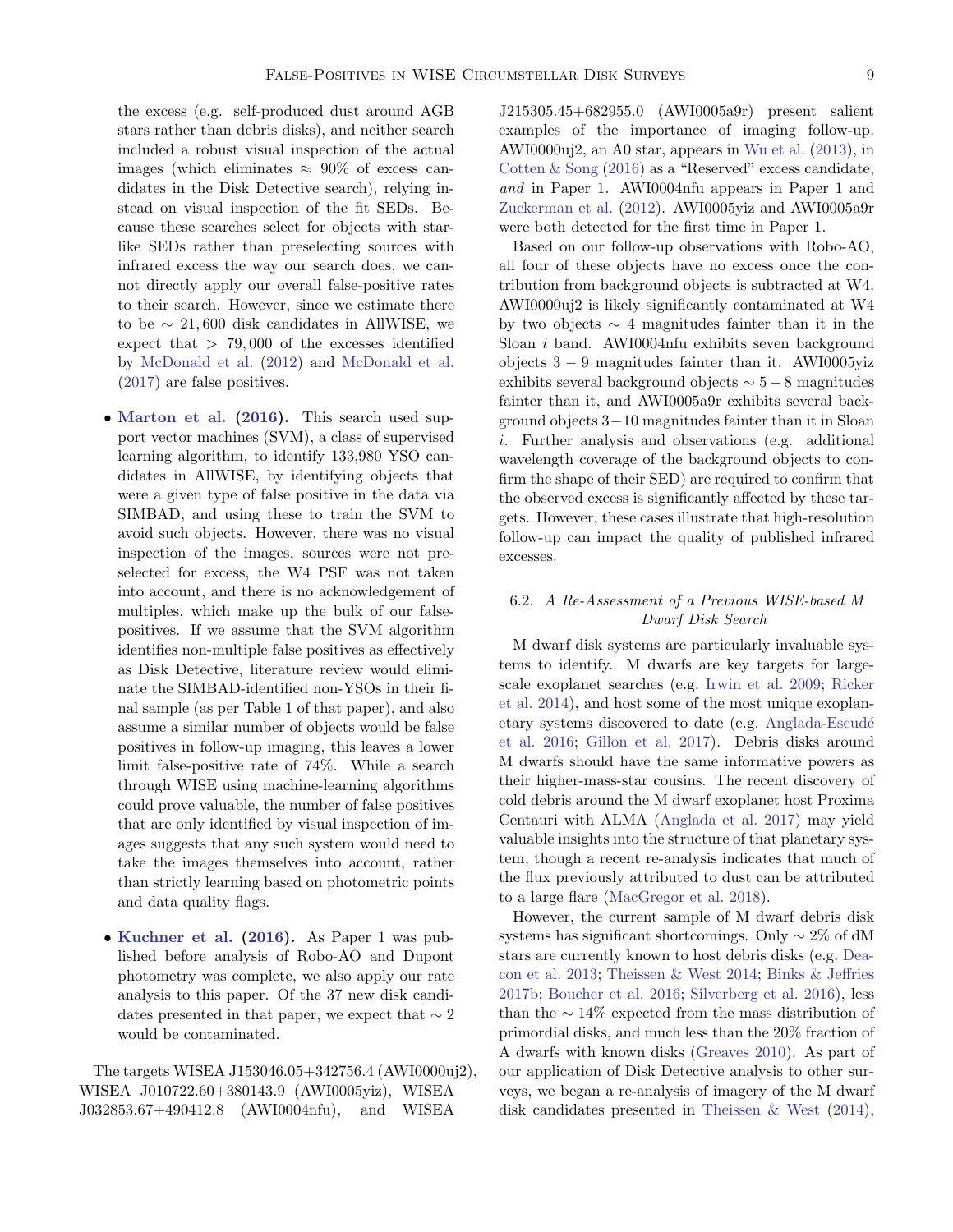the excess (e.g. self-produced dust around AGB stars rather than debris disks), and neither search included a robust visual inspection of the actual images (which eliminates  $\approx 90\%$  of excess candidates in the Disk Detective search), relying instead on visual inspection of the fit SEDs. Because these searches select for objects with starlike SEDs rather than preselecting sources with infrared excess the way our search does, we cannot directly apply our overall false-positive rates to their search. However, since we estimate there to be  $∼ 21,600$  disk candidates in AllWISE, we expect that  $> 79,000$  of the excesses identified by [McDonald et al.](#page-21-0) [\(2012\)](#page-21-0) and [McDonald et al.](#page-21-1) [\(2017\)](#page-21-1) are false positives.

- [Marton et al.](#page-21-2) [\(2016\)](#page-21-2). This search used support vector machines (SVM), a class of supervised learning algorithm, to identify 133,980 YSO candidates in AllWISE, by identifying objects that were a given type of false positive in the data via SIMBAD, and using these to train the SVM to avoid such objects. However, there was no visual inspection of the images, sources were not preselected for excess, the W4 PSF was not taken into account, and there is no acknowledgement of multiples, which make up the bulk of our falsepositives. If we assume that the SVM algorithm identifies non-multiple false positives as effectively as Disk Detective, literature review would eliminate the SIMBAD-identified non-YSOs in their final sample (as per Table 1 of that paper), and also assume a similar number of objects would be false positives in follow-up imaging, this leaves a lower limit false-positive rate of 74%. While a search through WISE using machine-learning algorithms could prove valuable, the number of false positives that are only identified by visual inspection of images suggests that any such system would need to take the images themselves into account, rather than strictly learning based on photometric points and data quality flags.
- [Kuchner et al.](#page-21-17) [\(2016\)](#page-21-17). As Paper 1 was published before analysis of Robo-AO and Dupont photometry was complete, we also apply our rate analysis to this paper. Of the 37 new disk candidates presented in that paper, we expect that  $\sim 2$ would be contaminated.

The targets WISEA J153046.05+342756.4 (AWI0000uj2), WISEA J010722.60+380143.9 (AWI0005yiz), WISEA J032853.67+490412.8 (AWI0004nfu), and WISEA

J215305.45+682955.0 (AWI0005a9r) present salient examples of the importance of imaging follow-up. AWI0000uj2, an A0 star, appears in [Wu et al.](#page-21-5) [\(2013\)](#page-21-5), in [Cotten & Song](#page-20-1) [\(2016\)](#page-20-1) as a "Reserved" excess candidate, and in Paper 1. AWI0004nfu appears in Paper 1 and [Zuckerman et al.](#page-22-0) [\(2012\)](#page-22-0). AWI0005yiz and AWI0005a9r were both detected for the first time in Paper 1.

Based on our follow-up observations with Robo-AO, all four of these objects have no excess once the contribution from background objects is subtracted at W4. AWI0000uj2 is likely significantly contaminated at W4 by two objects  $\sim$  4 magnitudes fainter than it in the Sloan i band. AWI0004nfu exhibits seven background objects 3 − 9 magnitudes fainter than it. AWI0005yiz exhibits several background objects  $\sim 5-8$  magnitudes fainter than it, and AWI0005a9r exhibits several background objects 3−10 magnitudes fainter than it in Sloan i. Further analysis and observations (e.g. additional wavelength coverage of the background objects to confirm the shape of their SED) are required to confirm that the observed excess is significantly affected by these targets. However, these cases illustrate that high-resolution follow-up can impact the quality of published infrared excesses.

# 6.2. A Re-Assessment of a Previous WISE-based M Dwarf Disk Search

M dwarf disk systems are particularly invaluable systems to identify. M dwarfs are key targets for largescale exoplanet searches (e.g. [Irwin et al.](#page-20-12) [2009;](#page-20-12) [Ricker](#page-21-22) [et al.](#page-21-22) [2014\)](#page-21-22), and host some of the most unique exoplanetary systems discovered to date (e.g. [Anglada-Escud´e](#page-20-13) [et al.](#page-20-13) [2016;](#page-20-13) [Gillon et al.](#page-20-14) [2017\)](#page-20-14). Debris disks around M dwarfs should have the same informative powers as their higher-mass-star cousins. The recent discovery of cold debris around the M dwarf exoplanet host Proxima Centauri with ALMA [\(Anglada et al.](#page-20-15) [2017\)](#page-20-15) may yield valuable insights into the structure of that planetary system, though a recent re-analysis indicates that much of the flux previously attributed to dust can be attributed to a large flare [\(MacGregor et al.](#page-21-23) [2018\)](#page-21-23).

However, the current sample of M dwarf debris disk systems has significant shortcomings. Only ∼ 2% of dM stars are currently known to host debris disks (e.g. [Dea](#page-20-16)[con et al.](#page-20-16) [2013;](#page-20-16) [Theissen & West](#page-21-3) [2014;](#page-21-3) [Binks & Jeffries](#page-20-17) [2017b;](#page-20-17) [Boucher et al.](#page-20-18) [2016;](#page-20-18) [Silverberg et al.](#page-21-24) [2016\)](#page-21-24), less than the  $\sim 14\%$  expected from the mass distribution of primordial disks, and much less than the 20% fraction of A dwarfs with known disks [\(Greaves](#page-20-19) [2010\)](#page-20-19). As part of our application of Disk Detective analysis to other surveys, we began a re-analysis of imagery of the M dwarf disk candidates presented in [Theissen & West](#page-21-3) [\(2014\)](#page-21-3),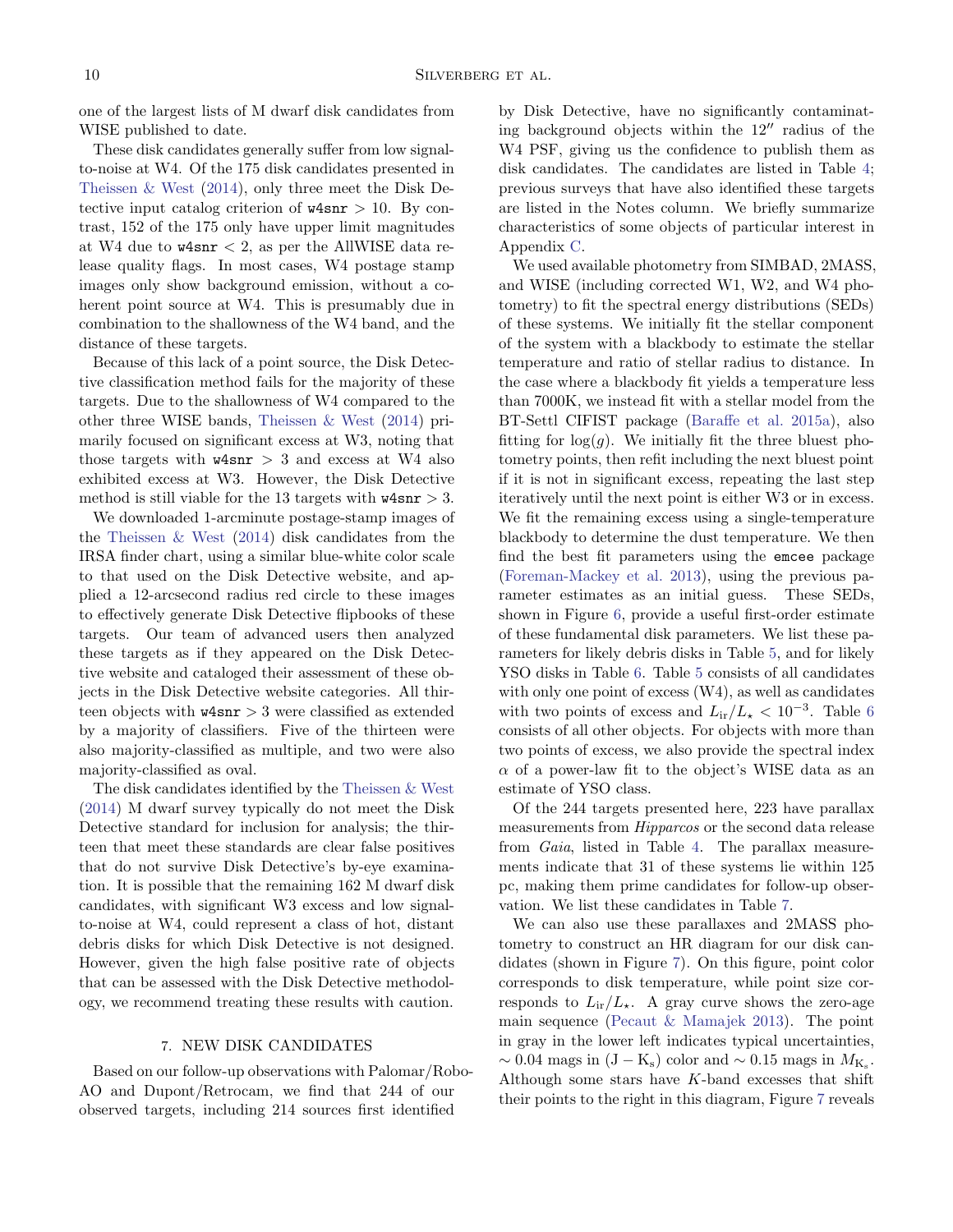one of the largest lists of M dwarf disk candidates from WISE published to date.

These disk candidates generally suffer from low signalto-noise at W4. Of the 175 disk candidates presented in [Theissen & West](#page-21-3) [\(2014\)](#page-21-3), only three meet the Disk Detective input catalog criterion of  $w4snr > 10$ . By contrast, 152 of the 175 only have upper limit magnitudes at W4 due to  $w4snr < 2$ , as per the AllWISE data release quality flags. In most cases, W4 postage stamp images only show background emission, without a coherent point source at W4. This is presumably due in combination to the shallowness of the W4 band, and the distance of these targets.

Because of this lack of a point source, the Disk Detective classification method fails for the majority of these targets. Due to the shallowness of W4 compared to the other three WISE bands, [Theissen & West](#page-21-3) [\(2014\)](#page-21-3) primarily focused on significant excess at W3, noting that those targets with  $w4snr > 3$  and excess at W4 also exhibited excess at W3. However, the Disk Detective method is still viable for the 13 targets with  $w4snr > 3$ .

We downloaded 1-arcminute postage-stamp images of the [Theissen & West](#page-21-3) [\(2014\)](#page-21-3) disk candidates from the IRSA finder chart, using a similar blue-white color scale to that used on the Disk Detective website, and applied a 12-arcsecond radius red circle to these images to effectively generate Disk Detective flipbooks of these targets. Our team of advanced users then analyzed these targets as if they appeared on the Disk Detective website and cataloged their assessment of these objects in the Disk Detective website categories. All thirteen objects with  $w4snr > 3$  were classified as extended by a majority of classifiers. Five of the thirteen were also majority-classified as multiple, and two were also majority-classified as oval.

The disk candidates identified by the [Theissen & West](#page-21-3) [\(2014\)](#page-21-3) M dwarf survey typically do not meet the Disk Detective standard for inclusion for analysis; the thirteen that meet these standards are clear false positives that do not survive Disk Detective's by-eye examination. It is possible that the remaining 162 M dwarf disk candidates, with significant W3 excess and low signalto-noise at W4, could represent a class of hot, distant debris disks for which Disk Detective is not designed. However, given the high false positive rate of objects that can be assessed with the Disk Detective methodology, we recommend treating these results with caution.

#### 7. NEW DISK CANDIDATES

<span id="page-9-0"></span>Based on our follow-up observations with Palomar/Robo-AO and Dupont/Retrocam, we find that 244 of our observed targets, including 214 sources first identified

by Disk Detective, have no significantly contaminating background objects within the  $12<sup>′′</sup>$  radius of the W4 PSF, giving us the confidence to publish them as disk candidates. The candidates are listed in Table [4;](#page-10-0) previous surveys that have also identified these targets are listed in the Notes column. We briefly summarize characteristics of some objects of particular interest in Appendix [C.](#page-18-0)

We used available photometry from SIMBAD, 2MASS, and WISE (including corrected W1, W2, and W4 photometry) to fit the spectral energy distributions (SEDs) of these systems. We initially fit the stellar component of the system with a blackbody to estimate the stellar temperature and ratio of stellar radius to distance. In the case where a blackbody fit yields a temperature less than 7000K, we instead fit with a stellar model from the BT-Settl CIFIST package [\(Baraffe et al.](#page-20-20) [2015a\)](#page-20-20), also fitting for  $log(q)$ . We initially fit the three bluest photometry points, then refit including the next bluest point if it is not in significant excess, repeating the last step iteratively until the next point is either W3 or in excess. We fit the remaining excess using a single-temperature blackbody to determine the dust temperature. We then find the best fit parameters using the emcee package [\(Foreman-Mackey et al.](#page-20-21) [2013\)](#page-20-21), using the previous parameter estimates as an initial guess. These SEDs, shown in Figure [6,](#page-11-0) provide a useful first-order estimate of these fundamental disk parameters. We list these parameters for likely debris disks in Table [5,](#page-10-1) and for likely YSO disks in Table [6.](#page-11-1) Table [5](#page-10-1) consists of all candidates with only one point of excess (W4), as well as candidates with two points of excess and  $L_{ir}/L_{\star} < 10^{-3}$ . Table [6](#page-11-1) consists of all other objects. For objects with more than two points of excess, we also provide the spectral index  $\alpha$  of a power-law fit to the object's WISE data as an estimate of YSO class.

Of the 244 targets presented here, 223 have parallax measurements from Hipparcos or the second data release from Gaia, listed in Table [4.](#page-10-0) The parallax measurements indicate that 31 of these systems lie within 125 pc, making them prime candidates for follow-up observation. We list these candidates in Table [7.](#page-12-0)

We can also use these parallaxes and 2MASS photometry to construct an HR diagram for our disk candidates (shown in Figure [7\)](#page-13-0). On this figure, point color corresponds to disk temperature, while point size corresponds to  $L_{ir}/L_{\star}$ . A gray curve shows the zero-age main sequence [\(Pecaut & Mamajek](#page-21-25) [2013\)](#page-21-25). The point in gray in the lower left indicates typical uncertainties,  $\sim 0.04$  mags in (J – K<sub>s</sub>) color and  $\sim 0.15$  mags in  $M_{\rm K_s}$ . Although some stars have  $K$ -band excesses that shift their points to the right in this diagram, Figure [7](#page-13-0) reveals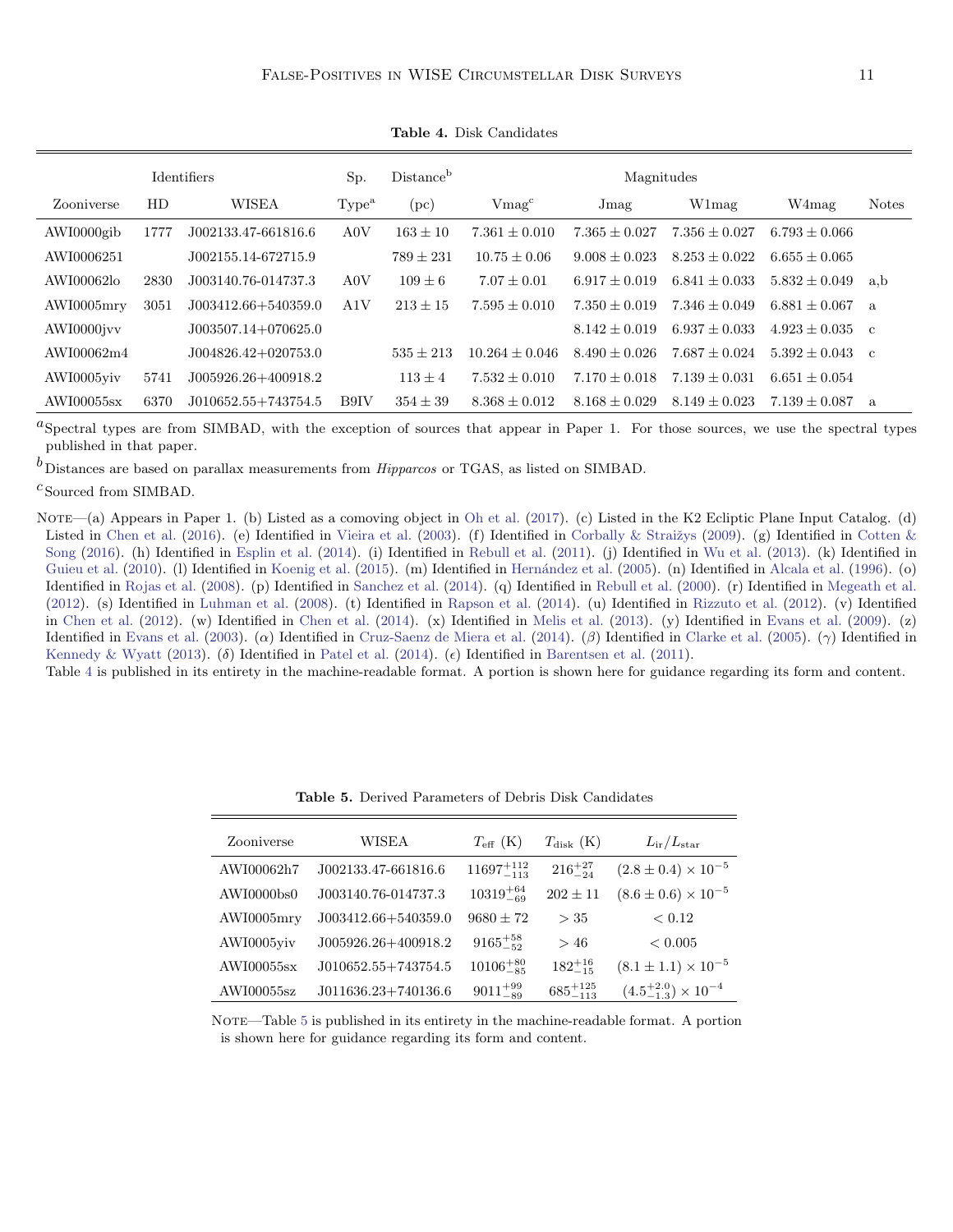|            |      | <b>Identifiers</b>      | Sp.               | Distance      | Magnitudes         |                   |                   |                     |              |
|------------|------|-------------------------|-------------------|---------------|--------------------|-------------------|-------------------|---------------------|--------------|
| Zooniverse | HD   | <b>WISEA</b>            | Type <sup>a</sup> | (pc)          | Vmag <sup>c</sup>  | Jmag              | W1mag             | W4mag               | <b>Notes</b> |
| AWI0000gib | 1777 | J002133.47-661816.6     | A0V               | $163 + 10$    | $7.361 + 0.010$    | $7.365 + 0.027$   | $7.356 + 0.027$   | $6.793 \pm 0.066$   |              |
| AWI0006251 |      | J002155.14-672715.9     |                   | $789 \pm 231$ | $10.75 \pm 0.06$   | $9.008 + 0.023$   | $8.253 \pm 0.022$ | $6.655 \pm 0.065$   |              |
| AWI00062lo | 2830 | J003140.76-014737.3     | A0V               | $109 + 6$     | $7.07 + 0.01$      | $6.917 + 0.019$   | $6.841 + 0.033$   | $5.832 \pm 0.049$   | a, b         |
| AWI0005mry | 3051 | J003412.66+540359.0     | A1V               | $213 \pm 15$  | $7.595 \pm 0.010$  | $7.350 + 0.019$   | $7.346 + 0.049$   | $6.881 + 0.067$     | a            |
| AWI0000jvv |      | $J003507.14+070625.0$   |                   |               |                    | $8.142 + 0.019$   | $6.937 + 0.033$   | $4.923 \pm 0.035$ c |              |
| AWI00062m4 |      | J004826.42+020753.0     |                   | $535 \pm 213$ | $10.264 \pm 0.046$ | $8.490 + 0.026$   | $7.687 + 0.024$   | $5.392 \pm 0.043$ c |              |
| AWI0005viv | 5741 | $J005926.26 + 400918.2$ |                   | $113 \pm 4$   | $7.532 \pm 0.010$  | $7.170 + 0.018$   | $7.139 + 0.031$   | $6.651 \pm 0.054$   |              |
| AWI00055sx | 6370 | $J010652.55+743754.5$   | B9IV              | $354 \pm 39$  | $8.368 \pm 0.012$  | $8.168 \pm 0.029$ | $8.149 + 0.023$   | $7.139 \pm 0.087$   | a            |

<span id="page-10-0"></span>Table 4. Disk Candidates

 ${}^a$ Spectral types are from SIMBAD, with the exception of sources that appear in Paper 1. For those sources, we use the spectral types published in that paper.

 $<sup>b</sup>$  Distances are based on parallax measurements from *Hipparcos* or TGAS, as listed on SIMBAD.</sup>

 $^{\cal C}$  Sourced from SIMBAD.

NOTE—(a) Appears in Paper 1. (b) Listed as a comoving object in [Oh et al.](#page-21-26) [\(2017\)](#page-21-26). (c) Listed in the K2 Ecliptic Plane Input Catalog. (d) Listed in [Chen et al.](#page-20-22) [\(2016\)](#page-20-22). (e) Identified in [Vieira et al.](#page-21-27) [\(2003\)](#page-21-27). (f) Identified in Corbally & Straižys [\(2009\)](#page-20-23). (g) Identified in [Cotten &](#page-20-1) [Song](#page-20-1) [\(2016\)](#page-20-1). (h) Identified in [Esplin et al.](#page-20-24) [\(2014\)](#page-20-24). (i) Identified in [Rebull et al.](#page-21-9) [\(2011\)](#page-21-9). (j) Identified in [Wu et al.](#page-21-5) [\(2013\)](#page-21-5). (k) Identified in [Guieu et al.](#page-20-25) [\(2010\)](#page-20-25). (1) Identified in [Koenig et al.](#page-20-2) [\(2015\)](#page-20-2). (m) Identified in Hernández et al. [\(2005\)](#page-20-26). (n) Identified in [Alcala et al.](#page-20-27) [\(1996\)](#page-20-27). (o) Identified in [Rojas et al.](#page-21-28) [\(2008\)](#page-21-28). (p) Identified in [Sanchez et al.](#page-21-29) [\(2014\)](#page-21-29). (q) Identified in [Rebull et al.](#page-21-30) [\(2000\)](#page-21-30). (r) Identified in [Megeath et al.](#page-21-31) [\(2012\)](#page-21-31). (s) Identified in [Luhman et al.](#page-21-32) [\(2008\)](#page-21-32). (t) Identified in [Rapson et al.](#page-21-33) [\(2014\)](#page-21-33). (u) Identified in [Rizzuto et al.](#page-21-34) [\(2012\)](#page-21-34). (v) Identified in [Chen et al.](#page-20-28) [\(2012\)](#page-20-28). (w) Identified in [Chen et al.](#page-20-29) [\(2014\)](#page-20-29). (x) Identified in [Melis et al.](#page-21-35) [\(2013\)](#page-21-35). (y) Identified in [Evans et al.](#page-20-30) [\(2009\)](#page-20-30). (z) Identified in [Evans et al.](#page-20-31) [\(2003\)](#page-20-31). (α) Identified in [Cruz-Saenz de Miera et al.](#page-20-7) [\(2014\)](#page-20-7). (β) Identified in [Clarke et al.](#page-20-10) [\(2005\)](#page-20-10). (γ) Identified in [Kennedy & Wyatt](#page-20-0) [\(2013\)](#page-20-0). (δ) Identified in [Patel et al.](#page-21-6) [\(2014\)](#page-21-6). ( $\epsilon$ ) Identified in [Barentsen et al.](#page-20-32) [\(2011\)](#page-20-32).

Table [4](#page-10-0) is published in its entirety in the machine-readable format. A portion is shown here for guidance regarding its form and content.

| Zooniverse | WISEA                   | $T_{\rm eff}$ (K)     | $T_{\rm disk}$ (K)  | $L_{\rm ir}/L_{\rm star}$            |
|------------|-------------------------|-----------------------|---------------------|--------------------------------------|
| AWI00062h7 | J002133.47-661816.6     | $11697_{-113}^{+112}$ | $216^{+27}_{-24}$   | $(2.8 \pm 0.4) \times 10^{-5}$       |
| AWI0000bs0 | J003140.76-014737.3     | $10319^{+64}_{-69}$   | $202 \pm 11$        | $(8.6 \pm 0.6) \times 10^{-5}$       |
| AWI0005mrv | $J003412.66 + 540359.0$ | $9680 \pm 72$         | $>$ 35              | < 0.12                               |
| AWI0005yiy | J005926.26+400918.2     | $9165^{+58}_{-52}$    | >46                 | < 0.005                              |
| AWI00055sx | J010652.55+743754.5     | $10106^{+80}_{-85}$   | $182^{+16}_{-15}$   | $(8.1 \pm 1.1) \times 10^{-5}$       |
| AWI00055sz | J011636.23+740136.6     | $9011^{+99}_{-89}$    | $685^{+125}_{-113}$ | $(4.5^{+2.0}_{-1.3}) \times 10^{-4}$ |

<span id="page-10-1"></span>Table 5. Derived Parameters of Debris Disk Candidates

NOTE—Table [5](#page-10-1) is published in its entirety in the machine-readable format. A portion is shown here for guidance regarding its form and content.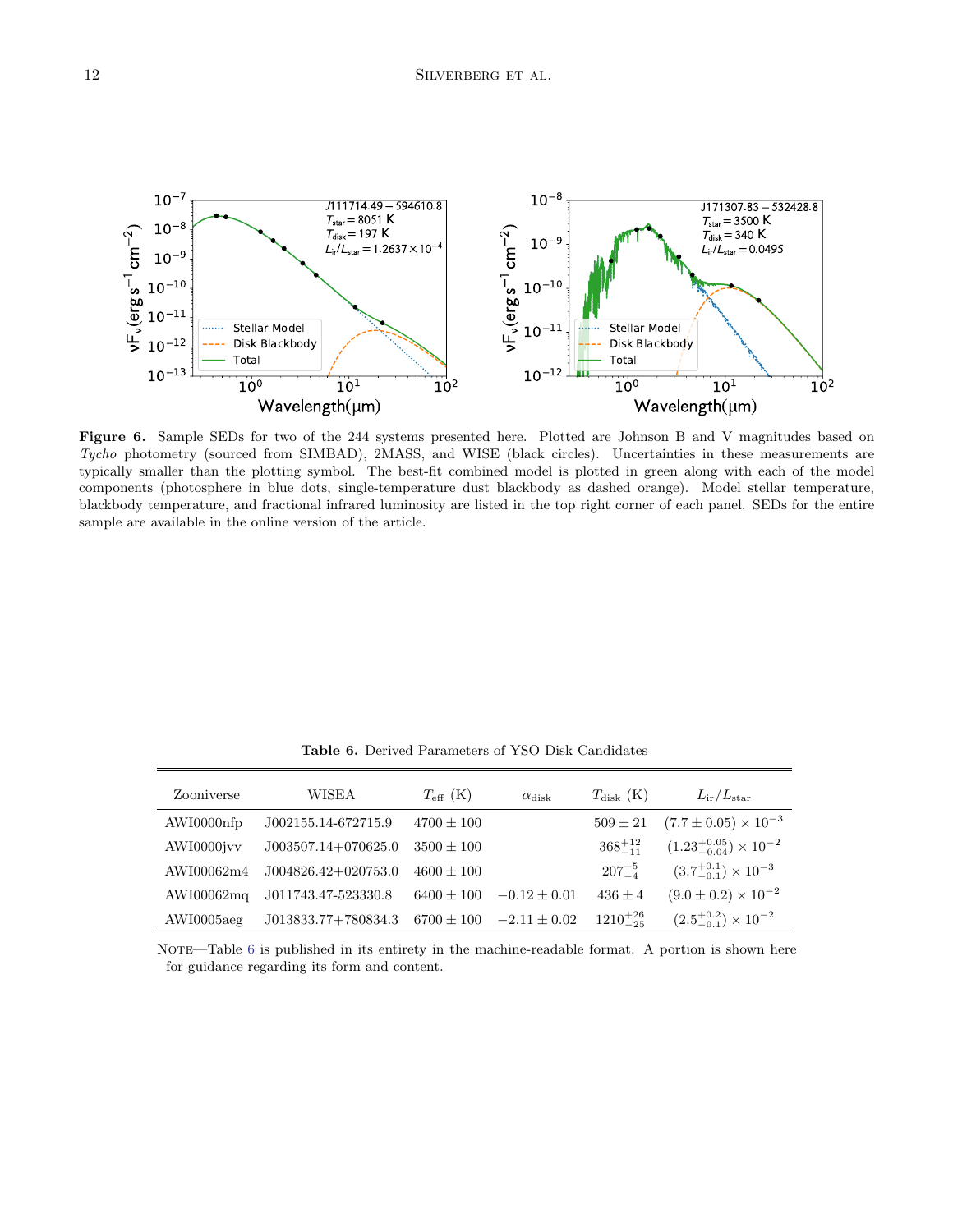

<span id="page-11-0"></span>Figure 6. Sample SEDs for two of the 244 systems presented here. Plotted are Johnson B and V magnitudes based on Tycho photometry (sourced from SIMBAD), 2MASS, and WISE (black circles). Uncertainties in these measurements are typically smaller than the plotting symbol. The best-fit combined model is plotted in green along with each of the model components (photosphere in blue dots, single-temperature dust blackbody as dashed orange). Model stellar temperature, blackbody temperature, and fractional infrared luminosity are listed in the top right corner of each panel. SEDs for the entire sample are available in the online version of the article.

| Zooniverse | WISEA                 | $T_{\rm eff}$ (K) | $\alpha$ disk    | $T_{\rm disk}$ (K) | $L_{ir}/L_{star}$                       |
|------------|-----------------------|-------------------|------------------|--------------------|-----------------------------------------|
| AWI0000nfp | J002155.14-672715.9   | $4700 \pm 100$    |                  | $509 \pm 21$       | $(7.7 \pm 0.05) \times 10^{-3}$         |
| AWI0000jvv | $J003507.14+070625.0$ | $3500 + 100$      |                  | $368^{+12}_{-11}$  | $(1.23^{+0.05}_{-0.04}) \times 10^{-2}$ |
| AWI00062m4 | $J004826.42+020753.0$ | $4600 + 100$      |                  | $207^{+5}$         | $(3.7^{+0.1}_{-0.1}) \times 10^{-3}$    |
| AWI00062mq | J011743.47-523330.8   | $6400 \pm 100$    | $-0.12 + 0.01$   | $436 \pm 4$        | $(9.0 \pm 0.2) \times 10^{-2}$          |
| AWI0005aeg | J013833.77+780834.3   | $6700 \pm 100$    | $-2.11 \pm 0.02$ | $1210^{+26}_{-25}$ | $(2.5^{+0.2}_{-0.1}) \times 10^{-2}$    |

<span id="page-11-1"></span>Table 6. Derived Parameters of YSO Disk Candidates

NOTE—Table [6](#page-11-1) is published in its entirety in the machine-readable format. A portion is shown here for guidance regarding its form and content.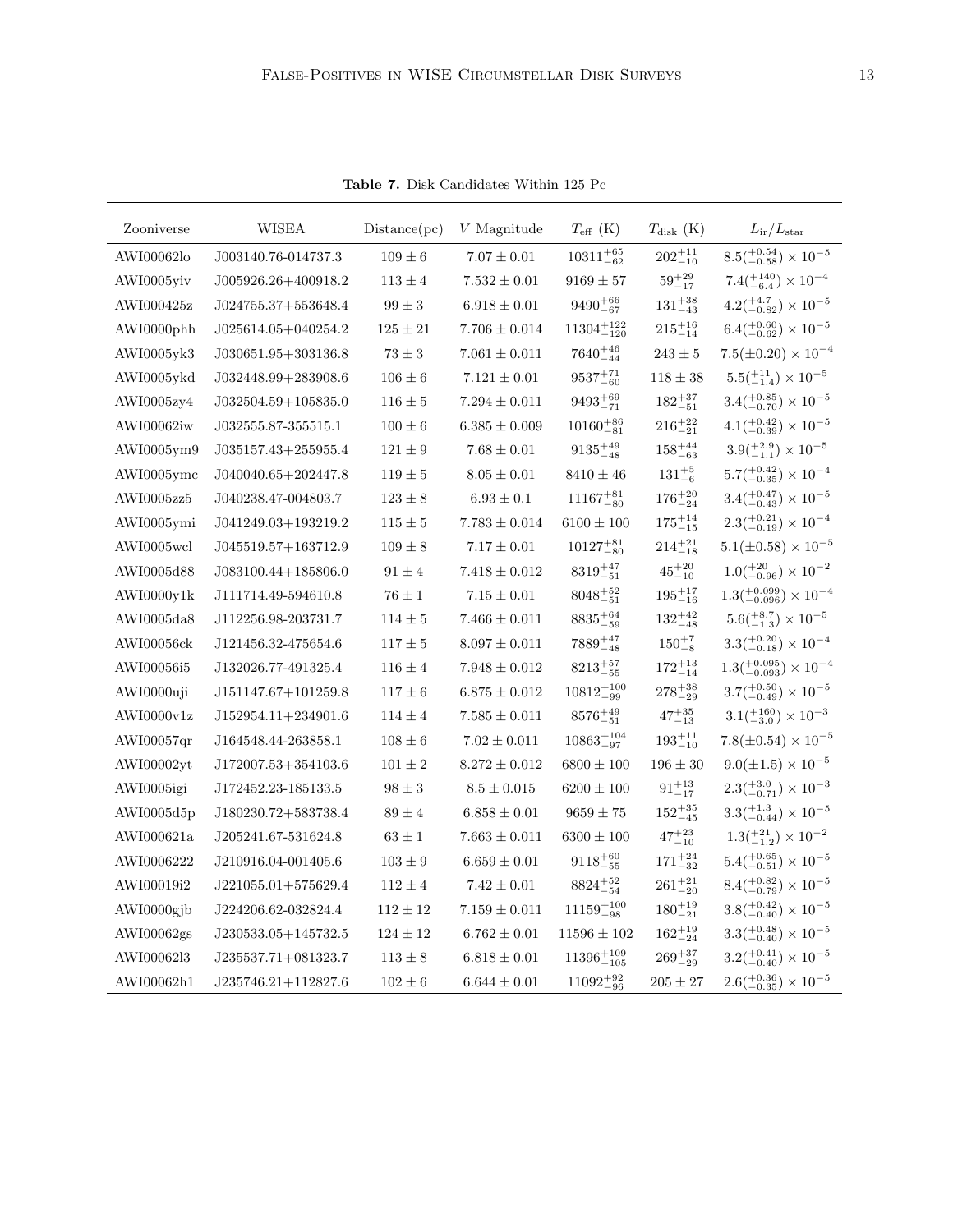| Zooniverse    | WISEA                   | Distance(pc) | V Magnitude       | $T_{\rm eff}$ (K)     | $T_{\rm disk}$ (K) | $L_{\rm ir}/L_{\rm star}$                      |
|---------------|-------------------------|--------------|-------------------|-----------------------|--------------------|------------------------------------------------|
| AWI00062lo    | J003140.76-014737.3     | $109 \pm 6$  | $7.07 \pm 0.01$   | $10311^{+65}_{-62}$   | $202^{+11}_{-10}$  | $8.5(^{+0.54}_{-0.58}) \times 10^{-5}$         |
| AWI0005yiy    | J005926.26+400918.2     | $113 \pm 4$  | $7.532 \pm 0.01$  | $9169 \pm 57$         | $59^{+29}_{-17}$   | $7.4(^{+140}_{-6.4}) \times 10^{-4}$           |
| AWI000425z    | $J024755.37+553648.4$   | $99 \pm 3$   | $6.918 \pm 0.01$  | $9490^{+66}_{-67}$    | $131^{+38}_{-43}$  | $4.2(^{+4.7}_{-0.82}) \times 10^{-5}$          |
| AWI0000phh    | $J025614.05+040254.2$   | $125 \pm 21$ | $7.706 \pm 0.014$ | $11304_{-120}^{+122}$ | $215^{+16}_{-14}$  | $6.4(^{+0.60}_{-0.62}) \times 10^{-5}$         |
| AWI0005yk3    | $J030651.95 + 303136.8$ | $73 \pm 3$   | $7.061 \pm 0.011$ | $7640^{+46}_{-44}$    | $243 \pm 5$        | $7.5(\pm 0.20) \times 10^{-4}$                 |
| AWI0005ykd    | J032448.99+283908.6     | $106 \pm 6$  | $7.121 \pm 0.01$  | $9537^{+71}_{-60}$    | $118 \pm 38$       | $5.5\left(^{+11}_{-1.4}\right) \times 10^{-5}$ |
| AWI0005zy4    | $J032504.59+105835.0$   | $116 \pm 5$  | $7.294 \pm 0.011$ | $9493^{+69}_{-71}$    | $182^{+37}_{-51}$  | $3.4(^{+0.85}_{-0.70}) \times 10^{-5}$         |
| AWI00062iw    | J032555.87-355515.1     | $100 \pm 6$  | $6.385 \pm 0.009$ | $10160^{+86}_{-81}$   | $216^{+22}_{-21}$  | $4.1(^{+0.42}_{-0.39}) \times 10^{-5}$         |
| AWI0005ym9    | $J035157.43+255955.4$   | $121 \pm 9$  | $7.68 \pm 0.01$   | $9135^{+49}_{-48}$    | $158^{+44}_{-63}$  | $3.9(^{+2.9}_{-1.1}) \times 10^{-5}$           |
| AWI0005ymc    | $J040040.65 + 202447.8$ | $119 \pm 5$  | $8.05 \pm 0.01$   | $8410 \pm 46$         | $131^{+5}_{-6}$    | $5.7(^{+0.42}_{-0.35}) \times 10^{-4}$         |
| AWI0005zz5    | J040238.47-004803.7     | $123 \pm 8$  | $6.93 \pm 0.1$    | $11167^{+81}_{-80}$   | $176^{+20}_{-24}$  | $3.4(^{+0.47}_{-0.43}) \times 10^{-5}$         |
| AWI0005ymi    | $J041249.03+193219.2$   | $115 \pm 5$  | $7.783 \pm 0.014$ | $6100 \pm 100$        | $175^{+14}_{-15}$  | $2.3(^{+0.21}_{-0.19}) \times 10^{-4}$         |
| AWI0005wcl    | J045519.57+163712.9     | $109 \pm 8$  | $7.17 \pm 0.01$   | $10127^{+81}_{-80}$   | $214^{+21}_{-18}$  | $5.1(\pm 0.58) \times 10^{-5}$                 |
| AWI0005d88    | $J083100.44+185806.0$   | $91 \pm 4$   | $7.418 \pm 0.012$ | $8319^{+47}_{-51}$    | $45^{+20}_{-10}$   | $1.0(^{+20}_{-0.96}) \times 10^{-2}$           |
| AWI0000v1k    | J111714.49-594610.8     | $76 \pm 1$   | $7.15 \pm 0.01$   | $8048^{+52}_{-51}$    | $195^{+17}_{-16}$  | $1.3(^{+0.099}_{-0.096}) \times 10^{-4}$       |
| AWI0005da8    | J112256.98-203731.7     | $114 \pm 5$  | $7.466 \pm 0.011$ | $8835^{+64}_{-59}$    | $132^{+42}_{-48}$  | $5.6(^{+8.7}_{-1.3}) \times 10^{-5}$           |
| AWI00056ck    | J121456.32-475654.6     | $117 \pm 5$  | $8.097 \pm 0.011$ | $7889^{+47}_{-48}$    | $150^{+7}_{-8}$    | $3.3(^{+0.20}_{-0.18}) \times 10^{-4}$         |
| AWI00056i5    | J132026.77-491325.4     | $116 \pm 4$  | $7.948 \pm 0.012$ | $8213^{+57}_{-55}$    | $172^{+13}_{-14}$  | $1.3(^{+0.095}_{-0.093}) \times 10^{-4}$       |
| AWI0000uji    | J151147.67+101259.8     | $117 \pm 6$  | $6.875 \pm 0.012$ | $10812_{-99}^{+100}$  | $278^{+38}_{-29}$  | $3.7(^{+0.50}_{-0.49}) \times 10^{-5}$         |
| AWI0000v1z    | $J152954.11+234901.6$   | $114 \pm 4$  | $7.585 \pm 0.011$ | $8576^{+49}_{-51}$    | $47^{+35}_{-13}$   | $3.1(^{+160}_{-3.0}) \times 10^{-3}$           |
| AWI00057qr    | J164548.44-263858.1     | $108 \pm 6$  | $7.02 \pm 0.011$  | $10863_{-97}^{+104}$  | $193^{+11}_{-10}$  | $7.8(\pm 0.54) \times 10^{-5}$                 |
| AWI00002yt    | J172007.53+354103.6     | $101 \pm 2$  | $8.272 \pm 0.012$ | $6800 \pm 100$        | $196 \pm 30$       | $9.0(\pm 1.5) \times 10^{-5}$                  |
| AWI0005igi    | J172452.23-185133.5     | $98 \pm 3$   | $8.5 \pm 0.015$   | $6200 \pm 100$        | $91^{+13}_{-17}$   | $2.3(^{+3.0}_{-0.71}) \times 10^{-3}$          |
| AWI0005d5p    | J180230.72+583738.4     | $89 \pm 4$   | $6.858 \pm 0.01$  | $9659 \pm 75$         | $152^{+35}_{-45}$  | $3.3(^{+1.3}_{-0.44}) \times 10^{-5}$          |
| AWI000621a    | J205241.67-531624.8     | $63 \pm 1$   | $7.663 \pm 0.011$ | $6300 \pm 100$        | $47^{+23}_{-10}$   | $1.3(^{+21}_{-1.2}) \times 10^{-2}$            |
| AWI0006222    | J210916.04-001405.6     | $103 \pm 9$  | $6.659 \pm 0.01$  | $9118^{+60}_{-55}$    | $171^{+24}_{-32}$  | $5.4(^{+0.65}_{-0.51}) \times 10^{-5}$         |
| AWI00019i2    | $J221055.01 + 575629.4$ | $112 \pm 4$  | $7.42 \pm 0.01$   | $8824^{+52}_{-54}$    | $261^{+21}_{-20}$  | $8.4(^{+0.82}_{-0.79}) \times 10^{-5}$         |
| AWI0000gjb    | J224206.62-032824.4     | $112 \pm 12$ | $7.159 \pm 0.011$ | $11159_{-98}^{+100}$  | $180^{+19}_{-21}$  | $3.8(^{+0.42}_{-0.40}) \times 10^{-5}$         |
| $AWI00062$ gs | J230533.05+145732.5     | $124 \pm 12$ | $6.762 \pm 0.01$  | $11596 \pm 102$       | $162^{+19}_{-24}$  | $3.3(^{+0.48}_{-0.40}) \times 10^{-5}$         |
| AWI0006213    | J235537.71+081323.7     | $113 \pm 8$  | $6.818 \pm 0.01$  | $11396_{-105}^{+109}$ | $269^{+37}_{-29}$  | $3.2(^{+0.41}_{-0.40}) \times 10^{-5}$         |
| AWI00062h1    | $J235746.21 + 112827.6$ | $102 \pm 6$  | $6.644 \pm 0.01$  | $11092^{+92}_{-96}$   | $205 \pm 27$       | $2.6(^{+0.36}_{-0.35})\times10^{-5}$           |

<span id="page-12-0"></span>Table 7. Disk Candidates Within 125 Pc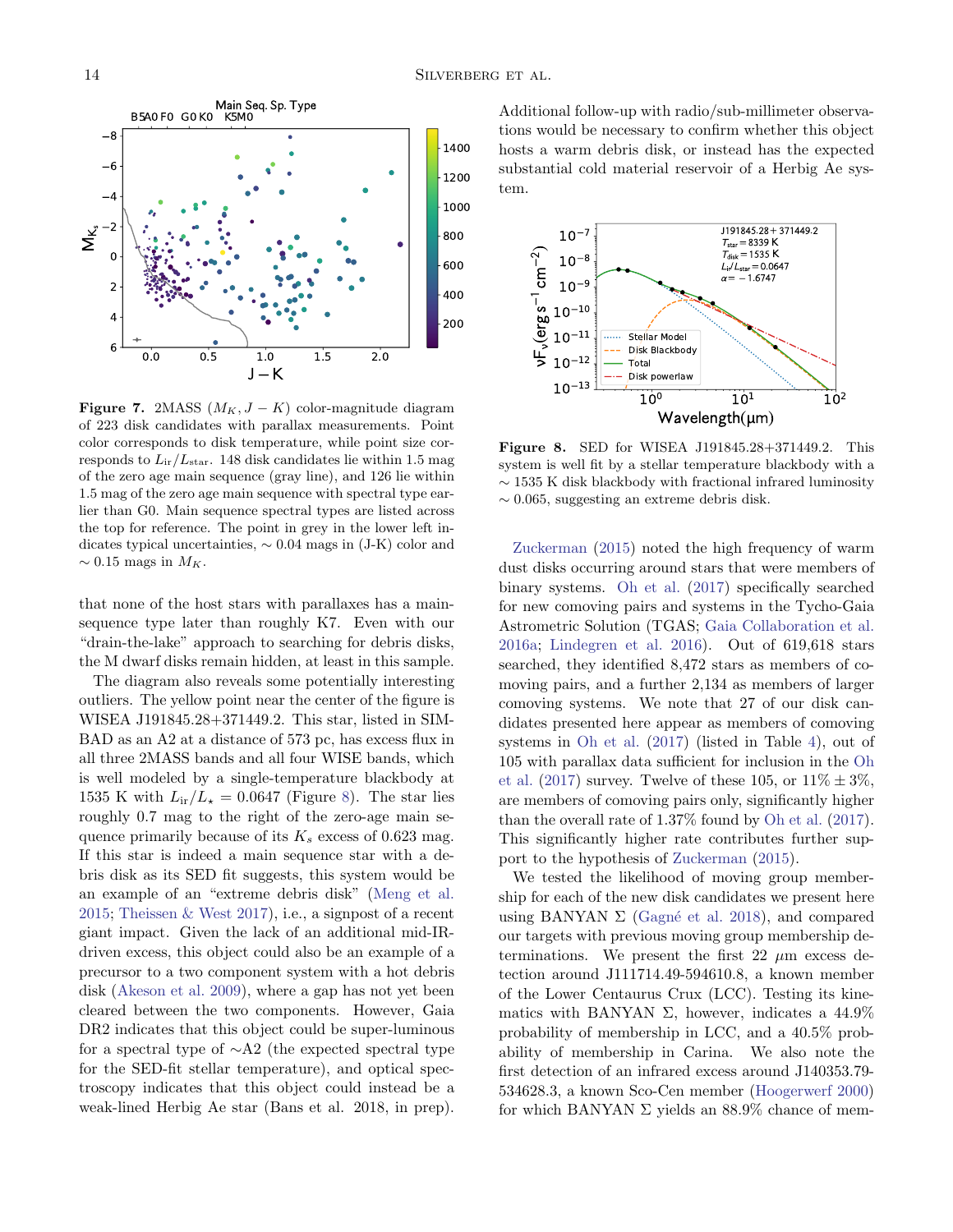

<span id="page-13-0"></span>Figure 7. 2MASS  $(M_K, J - K)$  color-magnitude diagram of 223 disk candidates with parallax measurements. Point color corresponds to disk temperature, while point size corresponds to  $L_{ir}/L_{star}$ . 148 disk candidates lie within 1.5 mag of the zero age main sequence (gray line), and 126 lie within 1.5 mag of the zero age main sequence with spectral type earlier than G0. Main sequence spectral types are listed across the top for reference. The point in grey in the lower left indicates typical uncertainties, ∼ 0.04 mags in (J-K) color and  $\sim 0.15$  mags in  $M_K$ .

that none of the host stars with parallaxes has a mainsequence type later than roughly K7. Even with our "drain-the-lake" approach to searching for debris disks, the M dwarf disks remain hidden, at least in this sample.

The diagram also reveals some potentially interesting outliers. The yellow point near the center of the figure is WISEA J191845.28+371449.2. This star, listed in SIM-BAD as an A2 at a distance of 573 pc, has excess flux in all three 2MASS bands and all four WISE bands, which is well modeled by a single-temperature blackbody at 1535 K with  $L_{ir}/L_{\star} = 0.0647$  (Figure [8\)](#page-13-1). The star lies roughly 0.7 mag to the right of the zero-age main sequence primarily because of its  $K_s$  excess of 0.623 mag. If this star is indeed a main sequence star with a debris disk as its SED fit suggests, this system would be an example of an "extreme debris disk" [\(Meng et al.](#page-21-36) [2015;](#page-21-36) [Theissen & West](#page-21-37) [2017\)](#page-21-37), i.e., a signpost of a recent giant impact. Given the lack of an additional mid-IRdriven excess, this object could also be an example of a precursor to a two component system with a hot debris disk [\(Akeson et al.](#page-20-33) [2009\)](#page-20-33), where a gap has not yet been cleared between the two components. However, Gaia DR2 indicates that this object could be super-luminous for a spectral type of ∼A2 (the expected spectral type for the SED-fit stellar temperature), and optical spectroscopy indicates that this object could instead be a weak-lined Herbig Ae star (Bans et al. 2018, in prep).

Additional follow-up with radio/sub-millimeter observations would be necessary to confirm whether this object hosts a warm debris disk, or instead has the expected substantial cold material reservoir of a Herbig Ae system.



<span id="page-13-1"></span>Figure 8. SED for WISEA J191845.28+371449.2. This system is well fit by a stellar temperature blackbody with a ∼ 1535 K disk blackbody with fractional infrared luminosity ∼ 0.065, suggesting an extreme debris disk.

[Zuckerman](#page-21-38) [\(2015\)](#page-21-38) noted the high frequency of warm dust disks occurring around stars that were members of binary systems. [Oh et al.](#page-21-26) [\(2017\)](#page-21-26) specifically searched for new comoving pairs and systems in the Tycho-Gaia Astrometric Solution (TGAS; [Gaia Collaboration et al.](#page-20-34) [2016a;](#page-20-34) [Lindegren et al.](#page-21-39) [2016\)](#page-21-39). Out of 619,618 stars searched, they identified 8,472 stars as members of comoving pairs, and a further 2,134 as members of larger comoving systems. We note that 27 of our disk candidates presented here appear as members of comoving systems in [Oh et al.](#page-21-26) [\(2017\)](#page-21-26) (listed in Table [4\)](#page-10-0), out of 105 with parallax data sufficient for inclusion in the [Oh](#page-21-26) [et al.](#page-21-26) [\(2017\)](#page-21-26) survey. Twelve of these 105, or  $11\% \pm 3\%$ , are members of comoving pairs only, significantly higher than the overall rate of 1.37% found by [Oh et al.](#page-21-26) [\(2017\)](#page-21-26). This significantly higher rate contributes further support to the hypothesis of [Zuckerman](#page-21-38) [\(2015\)](#page-21-38).

We tested the likelihood of moving group membership for each of the new disk candidates we present here using BANYAN  $\Sigma$  (Gagné et al. [2018\)](#page-20-35), and compared our targets with previous moving group membership determinations. We present the first 22  $\mu$ m excess detection around J111714.49-594610.8, a known member of the Lower Centaurus Crux (LCC). Testing its kinematics with BANYAN  $\Sigma$ , however, indicates a 44.9% probability of membership in LCC, and a 40.5% probability of membership in Carina. We also note the first detection of an infrared excess around J140353.79- 534628.3, a known Sco-Cen member [\(Hoogerwerf](#page-20-36) [2000\)](#page-20-36) for which BANYAN  $\Sigma$  yields an 88.9% chance of mem-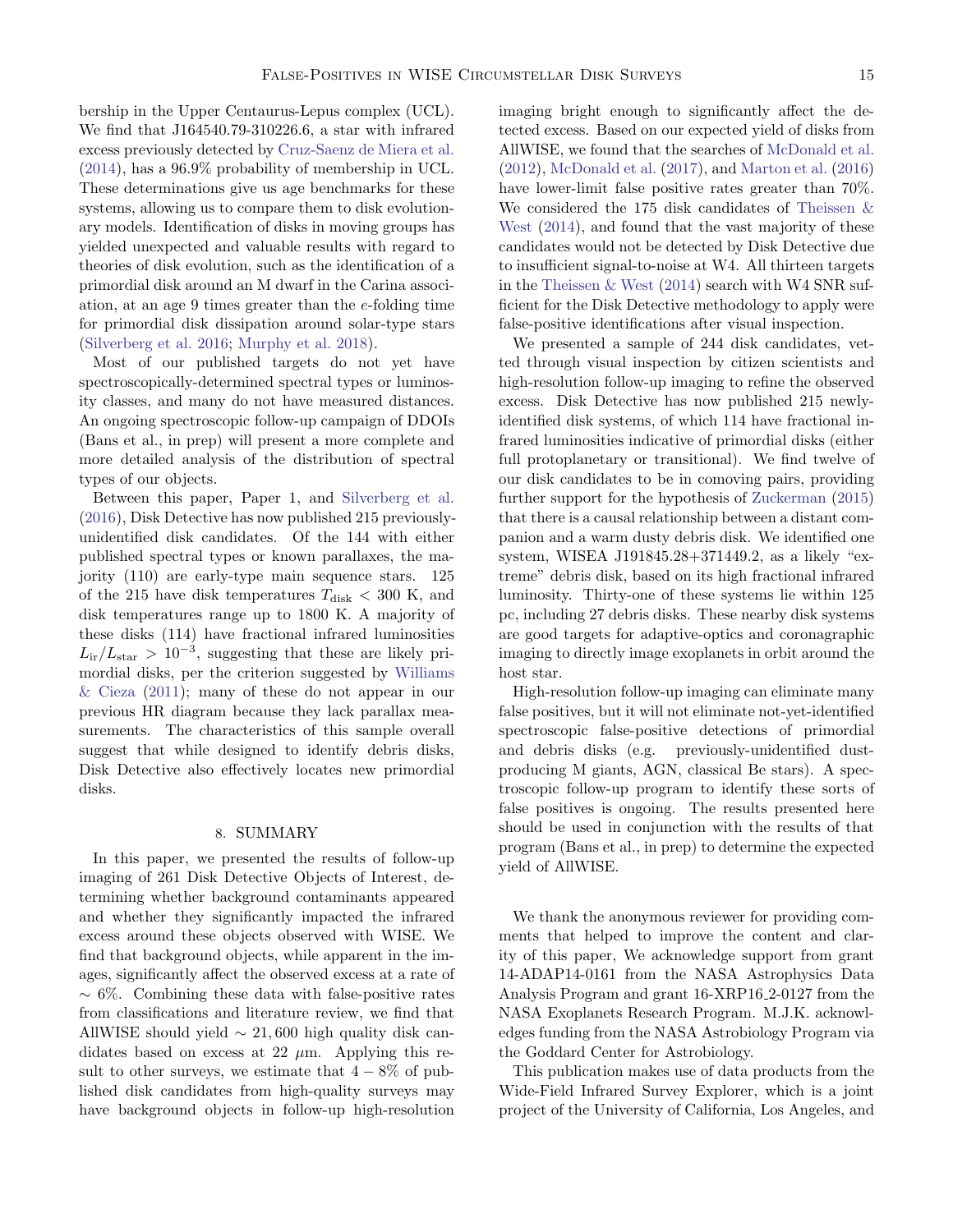bership in the Upper Centaurus-Lepus complex (UCL). We find that J164540.79-310226.6, a star with infrared excess previously detected by [Cruz-Saenz de Miera et al.](#page-20-7) [\(2014\)](#page-20-7), has a 96.9% probability of membership in UCL. These determinations give us age benchmarks for these systems, allowing us to compare them to disk evolutionary models. Identification of disks in moving groups has yielded unexpected and valuable results with regard to theories of disk evolution, such as the identification of a primordial disk around an M dwarf in the Carina association, at an age 9 times greater than the e-folding time for primordial disk dissipation around solar-type stars [\(Silverberg et al.](#page-21-24) [2016;](#page-21-24) [Murphy et al.](#page-21-40) [2018\)](#page-21-40).

Most of our published targets do not yet have spectroscopically-determined spectral types or luminosity classes, and many do not have measured distances. An ongoing spectroscopic follow-up campaign of DDOIs (Bans et al., in prep) will present a more complete and more detailed analysis of the distribution of spectral types of our objects.

Between this paper, Paper 1, and [Silverberg et al.](#page-21-24) [\(2016\)](#page-21-24), Disk Detective has now published 215 previouslyunidentified disk candidates. Of the 144 with either published spectral types or known parallaxes, the majority (110) are early-type main sequence stars. 125 of the 215 have disk temperatures  $T_{\rm disk}$   $<$  300 K, and disk temperatures range up to 1800 K. A majority of these disks (114) have fractional infrared luminosities  $L_{ir}/L_{star} > 10^{-3}$ , suggesting that these are likely primordial disks, per the criterion suggested by [Williams](#page-21-41) [& Cieza](#page-21-41) [\(2011\)](#page-21-41); many of these do not appear in our previous HR diagram because they lack parallax measurements. The characteristics of this sample overall suggest that while designed to identify debris disks, Disk Detective also effectively locates new primordial disks.

#### 8. SUMMARY

<span id="page-14-0"></span>In this paper, we presented the results of follow-up imaging of 261 Disk Detective Objects of Interest, determining whether background contaminants appeared and whether they significantly impacted the infrared excess around these objects observed with WISE. We find that background objects, while apparent in the images, significantly affect the observed excess at a rate of  $~\sim 6\%$ . Combining these data with false-positive rates from classifications and literature review, we find that AllWISE should yield  $\sim 21,600$  high quality disk candidates based on excess at 22  $\mu$ m. Applying this result to other surveys, we estimate that  $4 - 8\%$  of published disk candidates from high-quality surveys may have background objects in follow-up high-resolution

imaging bright enough to significantly affect the detected excess. Based on our expected yield of disks from AllWISE, we found that the searches of [McDonald et al.](#page-21-0) [\(2012\)](#page-21-0), [McDonald et al.](#page-21-1) [\(2017\)](#page-21-1), and [Marton et al.](#page-21-2) [\(2016\)](#page-21-2) have lower-limit false positive rates greater than 70%. We considered the 175 disk candidates of [Theissen &](#page-21-3) [West](#page-21-3) [\(2014\)](#page-21-3), and found that the vast majority of these candidates would not be detected by Disk Detective due to insufficient signal-to-noise at W4. All thirteen targets in the [Theissen & West](#page-21-3) [\(2014\)](#page-21-3) search with W4 SNR sufficient for the Disk Detective methodology to apply were false-positive identifications after visual inspection.

We presented a sample of 244 disk candidates, vetted through visual inspection by citizen scientists and high-resolution follow-up imaging to refine the observed excess. Disk Detective has now published 215 newlyidentified disk systems, of which 114 have fractional infrared luminosities indicative of primordial disks (either full protoplanetary or transitional). We find twelve of our disk candidates to be in comoving pairs, providing further support for the hypothesis of [Zuckerman](#page-21-38) [\(2015\)](#page-21-38) that there is a causal relationship between a distant companion and a warm dusty debris disk. We identified one system, WISEA J191845.28+371449.2, as a likely "extreme" debris disk, based on its high fractional infrared luminosity. Thirty-one of these systems lie within 125 pc, including 27 debris disks. These nearby disk systems are good targets for adaptive-optics and coronagraphic imaging to directly image exoplanets in orbit around the host star.

High-resolution follow-up imaging can eliminate many false positives, but it will not eliminate not-yet-identified spectroscopic false-positive detections of primordial and debris disks (e.g. previously-unidentified dustproducing M giants, AGN, classical Be stars). A spectroscopic follow-up program to identify these sorts of false positives is ongoing. The results presented here should be used in conjunction with the results of that program (Bans et al., in prep) to determine the expected yield of AllWISE.

We thank the anonymous reviewer for providing comments that helped to improve the content and clarity of this paper, We acknowledge support from grant 14-ADAP14-0161 from the NASA Astrophysics Data Analysis Program and grant 16-XRP16 2-0127 from the NASA Exoplanets Research Program. M.J.K. acknowledges funding from the NASA Astrobiology Program via the Goddard Center for Astrobiology.

This publication makes use of data products from the Wide-Field Infrared Survey Explorer, which is a joint project of the University of California, Los Angeles, and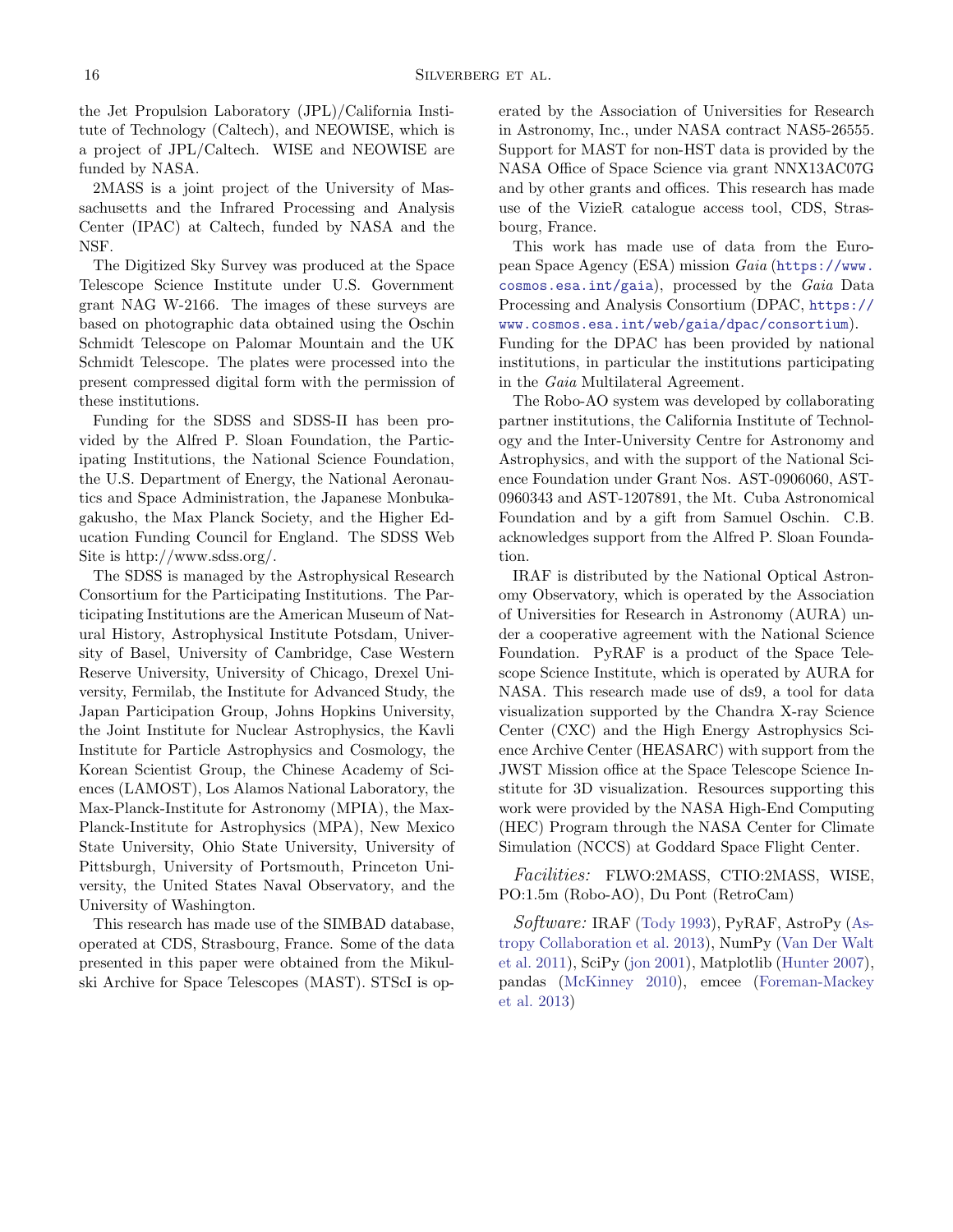the Jet Propulsion Laboratory (JPL)/California Institute of Technology (Caltech), and NEOWISE, which is a project of JPL/Caltech. WISE and NEOWISE are funded by NASA.

2MASS is a joint project of the University of Massachusetts and the Infrared Processing and Analysis Center (IPAC) at Caltech, funded by NASA and the NSF.

The Digitized Sky Survey was produced at the Space Telescope Science Institute under U.S. Government grant NAG W-2166. The images of these surveys are based on photographic data obtained using the Oschin Schmidt Telescope on Palomar Mountain and the UK Schmidt Telescope. The plates were processed into the present compressed digital form with the permission of these institutions.

Funding for the SDSS and SDSS-II has been provided by the Alfred P. Sloan Foundation, the Participating Institutions, the National Science Foundation, the U.S. Department of Energy, the National Aeronautics and Space Administration, the Japanese Monbukagakusho, the Max Planck Society, and the Higher Education Funding Council for England. The SDSS Web Site is http://www.sdss.org/.

The SDSS is managed by the Astrophysical Research Consortium for the Participating Institutions. The Participating Institutions are the American Museum of Natural History, Astrophysical Institute Potsdam, University of Basel, University of Cambridge, Case Western Reserve University, University of Chicago, Drexel University, Fermilab, the Institute for Advanced Study, the Japan Participation Group, Johns Hopkins University, the Joint Institute for Nuclear Astrophysics, the Kavli Institute for Particle Astrophysics and Cosmology, the Korean Scientist Group, the Chinese Academy of Sciences (LAMOST), Los Alamos National Laboratory, the Max-Planck-Institute for Astronomy (MPIA), the Max-Planck-Institute for Astrophysics (MPA), New Mexico State University, Ohio State University, University of Pittsburgh, University of Portsmouth, Princeton University, the United States Naval Observatory, and the University of Washington.

This research has made use of the SIMBAD database, operated at CDS, Strasbourg, France. Some of the data presented in this paper were obtained from the Mikulski Archive for Space Telescopes (MAST). STScI is operated by the Association of Universities for Research in Astronomy, Inc., under NASA contract NAS5-26555. Support for MAST for non-HST data is provided by the NASA Office of Space Science via grant NNX13AC07G and by other grants and offices. This research has made use of the VizieR catalogue access tool, CDS, Strasbourg, France.

This work has made use of data from the European Space Agency (ESA) mission Gaia ([https://www.](https://www.cosmos.esa.int/gaia) [cosmos.esa.int/gaia](https://www.cosmos.esa.int/gaia)), processed by the Gaia Data Processing and Analysis Consortium (DPAC, [https://](https://www.cosmos.esa.int/web/gaia/dpac/consortium) [www.cosmos.esa.int/web/gaia/dpac/consortium](https://www.cosmos.esa.int/web/gaia/dpac/consortium)). Funding for the DPAC has been provided by national institutions, in particular the institutions participating in the Gaia Multilateral Agreement.

The Robo-AO system was developed by collaborating partner institutions, the California Institute of Technology and the Inter-University Centre for Astronomy and Astrophysics, and with the support of the National Science Foundation under Grant Nos. AST-0906060, AST-0960343 and AST-1207891, the Mt. Cuba Astronomical Foundation and by a gift from Samuel Oschin. C.B. acknowledges support from the Alfred P. Sloan Foundation.

IRAF is distributed by the National Optical Astronomy Observatory, which is operated by the Association of Universities for Research in Astronomy (AURA) under a cooperative agreement with the National Science Foundation. PyRAF is a product of the Space Telescope Science Institute, which is operated by AURA for NASA. This research made use of ds9, a tool for data visualization supported by the Chandra X-ray Science Center (CXC) and the High Energy Astrophysics Science Archive Center (HEASARC) with support from the JWST Mission office at the Space Telescope Science Institute for 3D visualization. Resources supporting this work were provided by the NASA High-End Computing (HEC) Program through the NASA Center for Climate Simulation (NCCS) at Goddard Space Flight Center.

Facilities: FLWO:2MASS, CTIO:2MASS, WISE, PO:1.5m (Robo-AO), Du Pont (RetroCam)

Software: IRAF [\(Tody](#page-21-42) [1993\)](#page-21-42), PyRAF, AstroPy [\(As](#page-20-37)[tropy Collaboration et al.](#page-20-37) [2013\)](#page-20-37), NumPy [\(Van Der Walt](#page-21-43) [et al.](#page-21-43) [2011\)](#page-21-43), SciPy [\(jon](#page-20-38) [2001\)](#page-20-38), Matplotlib [\(Hunter](#page-20-39) [2007\)](#page-20-39), pandas [\(McKinney](#page-21-44) [2010\)](#page-21-44), emcee [\(Foreman-Mackey](#page-20-21) [et al.](#page-20-21) [2013\)](#page-20-21)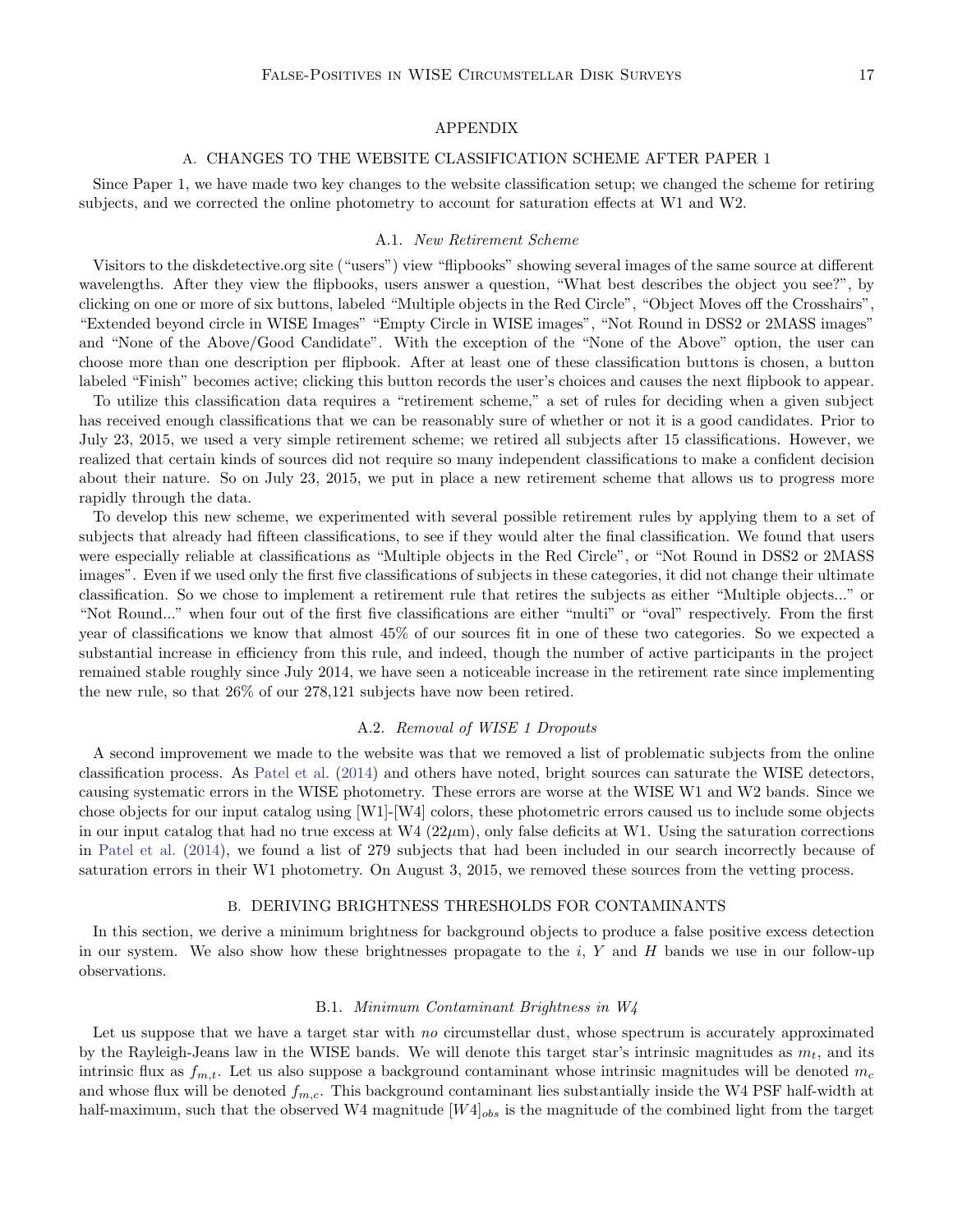#### APPENDIX

#### A. CHANGES TO THE WEBSITE CLASSIFICATION SCHEME AFTER PAPER 1

Since Paper 1, we have made two key changes to the website classification setup; we changed the scheme for retiring subjects, and we corrected the online photometry to account for saturation effects at W1 and W2.

### A.1. New Retirement Scheme

<span id="page-16-0"></span>Visitors to the diskdetective.org site ("users") view "flipbooks" showing several images of the same source at different wavelengths. After they view the flipbooks, users answer a question, "What best describes the object you see?", by clicking on one or more of six buttons, labeled "Multiple objects in the Red Circle", "Object Moves off the Crosshairs", "Extended beyond circle in WISE Images" "Empty Circle in WISE images", "Not Round in DSS2 or 2MASS images" and "None of the Above/Good Candidate". With the exception of the "None of the Above" option, the user can choose more than one description per flipbook. After at least one of these classification buttons is chosen, a button labeled "Finish" becomes active; clicking this button records the user's choices and causes the next flipbook to appear.

To utilize this classification data requires a "retirement scheme," a set of rules for deciding when a given subject has received enough classifications that we can be reasonably sure of whether or not it is a good candidates. Prior to July 23, 2015, we used a very simple retirement scheme; we retired all subjects after 15 classifications. However, we realized that certain kinds of sources did not require so many independent classifications to make a confident decision about their nature. So on July 23, 2015, we put in place a new retirement scheme that allows us to progress more rapidly through the data.

To develop this new scheme, we experimented with several possible retirement rules by applying them to a set of subjects that already had fifteen classifications, to see if they would alter the final classification. We found that users were especially reliable at classifications as "Multiple objects in the Red Circle", or "Not Round in DSS2 or 2MASS images". Even if we used only the first five classifications of subjects in these categories, it did not change their ultimate classification. So we chose to implement a retirement rule that retires the subjects as either "Multiple objects..." or "Not Round..." when four out of the first five classifications are either "multi" or "oval" respectively. From the first year of classifications we know that almost 45% of our sources fit in one of these two categories. So we expected a substantial increase in efficiency from this rule, and indeed, though the number of active participants in the project remained stable roughly since July 2014, we have seen a noticeable increase in the retirement rate since implementing the new rule, so that 26% of our 278,121 subjects have now been retired.

### A.2. Removal of WISE 1 Dropouts

<span id="page-16-1"></span>A second improvement we made to the website was that we removed a list of problematic subjects from the online classification process. As [Patel et al.](#page-21-6) [\(2014\)](#page-21-6) and others have noted, bright sources can saturate the WISE detectors, causing systematic errors in the WISE photometry. These errors are worse at the WISE W1 and W2 bands. Since we chose objects for our input catalog using [W1]-[W4] colors, these photometric errors caused us to include some objects in our input catalog that had no true excess at  $W_4(22\mu m)$ , only false deficits at W1. Using the saturation corrections in [Patel et al.](#page-21-6) [\(2014\)](#page-21-6), we found a list of 279 subjects that had been included in our search incorrectly because of saturation errors in their W1 photometry. On August 3, 2015, we removed these sources from the vetting process.

### B. DERIVING BRIGHTNESS THRESHOLDS FOR CONTAMINANTS

<span id="page-16-2"></span>In this section, we derive a minimum brightness for background objects to produce a false positive excess detection in our system. We also show how these brightnesses propagate to the i, Y and H bands we use in our follow-up observations.

#### B.1. Minimum Contaminant Brightness in W4

Let us suppose that we have a target star with no circumstellar dust, whose spectrum is accurately approximated by the Rayleigh-Jeans law in the WISE bands. We will denote this target star's intrinsic magnitudes as  $m_t$ , and its intrinsic flux as  $f_{m,t}$ . Let us also suppose a background contaminant whose intrinsic magnitudes will be denoted  $m_c$ and whose flux will be denoted  $f_{m,c}$ . This background contaminant lies substantially inside the W4 PSF half-width at half-maximum, such that the observed W4 magnitude  $[W4]_{obs}$  is the magnitude of the combined light from the target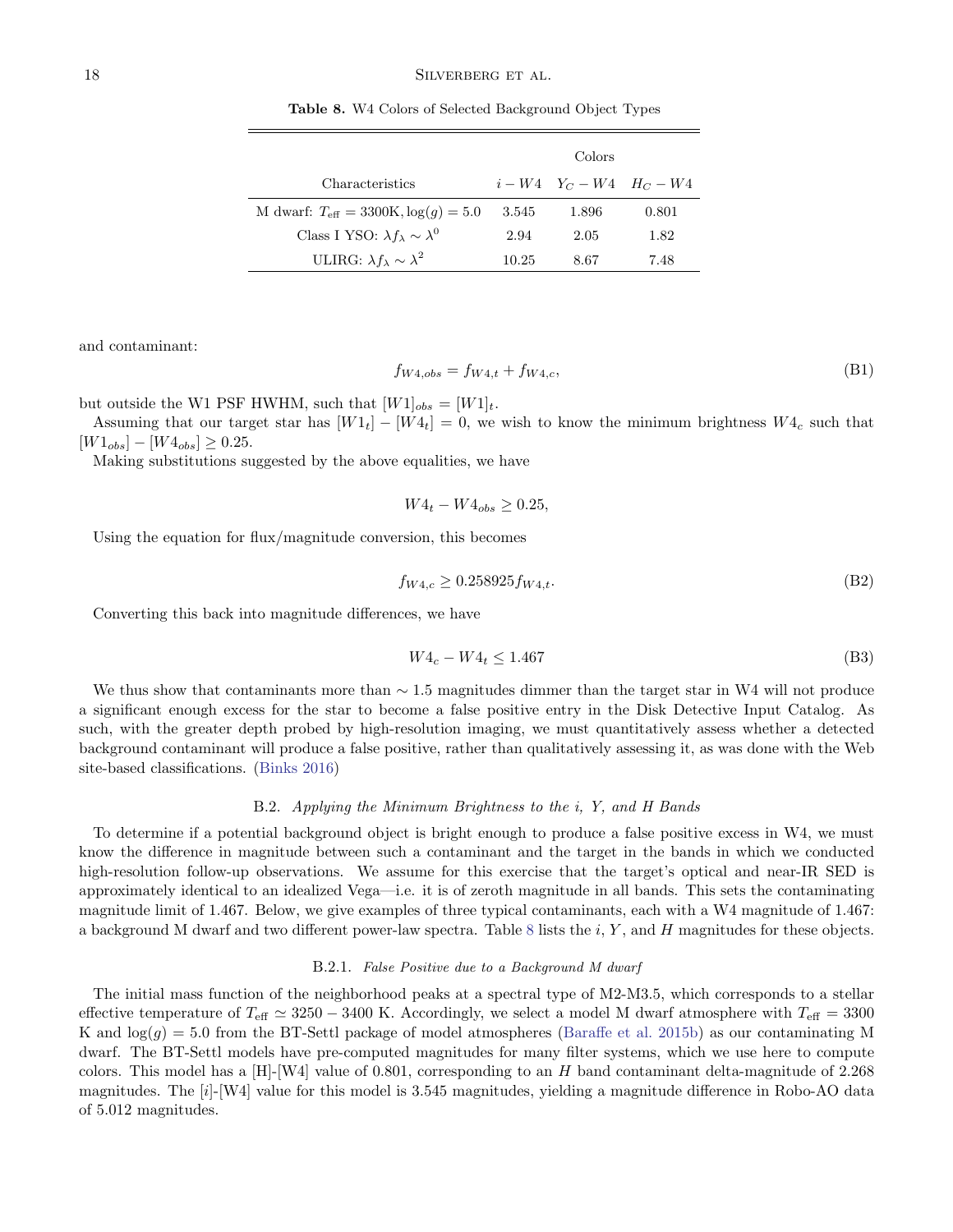<span id="page-17-0"></span>Table 8. W4 Colors of Selected Background Object Types

|                                                          |       | Colors                   |       |
|----------------------------------------------------------|-------|--------------------------|-------|
| Characteristics                                          |       | $i-W4$ $Y_C-W4$ $H_C-W4$ |       |
| M dwarf: $T_{\text{eff}} = 3300 \text{K}, \log(q) = 5.0$ | 3.545 | 1.896                    | 0.801 |
| Class I YSO: $\lambda f_{\lambda} \sim \lambda^0$        | 2.94  | 2.05                     | 1.82  |
| ULIRG: $\lambda f_{\lambda} \sim \lambda^2$              | 10.25 | 8.67                     | 7.48  |

and contaminant:

$$
f_{W4,obs} = f_{W4,t} + f_{W4,c},\tag{B1}
$$

but outside the W1 PSF HWHM, such that  $[W1]_{obs} = [W1]_t$ .

Assuming that our target star has  $[W1_t] - [W4_t] = 0$ , we wish to know the minimum brightness  $W4_c$  such that  $[W1_{obs}] - [W4_{obs}] \ge 0.25.$ 

Making substitutions suggested by the above equalities, we have

$$
W4_t - W4_{obs} \ge 0.25,
$$

Using the equation for flux/magnitude conversion, this becomes

$$
f_{W4,c} \ge 0.258925 f_{W4,t}.\tag{B2}
$$

Converting this back into magnitude differences, we have

$$
W4_c - W4_t \le 1.467\tag{B3}
$$

We thus show that contaminants more than  $\sim$  1.5 magnitudes dimmer than the target star in W4 will not produce a significant enough excess for the star to become a false positive entry in the Disk Detective Input Catalog. As such, with the greater depth probed by high-resolution imaging, we must quantitatively assess whether a detected background contaminant will produce a false positive, rather than qualitatively assessing it, as was done with the Web site-based classifications. [\(Binks](#page-20-40) [2016\)](#page-20-40)

### B.2. Applying the Minimum Brightness to the i, Y, and H Bands

To determine if a potential background object is bright enough to produce a false positive excess in W4, we must know the difference in magnitude between such a contaminant and the target in the bands in which we conducted high-resolution follow-up observations. We assume for this exercise that the target's optical and near-IR SED is approximately identical to an idealized Vega—i.e. it is of zeroth magnitude in all bands. This sets the contaminating magnitude limit of 1.467. Below, we give examples of three typical contaminants, each with a W4 magnitude of 1.467: a background M dwarf and two different power-law spectra. Table [8](#page-17-0) lists the  $i, Y$ , and H magnitudes for these objects.

#### B.2.1. False Positive due to a Background M dwarf

The initial mass function of the neighborhood peaks at a spectral type of M2-M3.5, which corresponds to a stellar effective temperature of  $T_{\text{eff}} \simeq 3250 - 3400$  K. Accordingly, we select a model M dwarf atmosphere with  $T_{\text{eff}} = 3300$ K and  $log(g) = 5.0$  from the BT-Settl package of model atmospheres [\(Baraffe et al.](#page-20-41) [2015b\)](#page-20-41) as our contaminating M dwarf. The BT-Settl models have pre-computed magnitudes for many filter systems, which we use here to compute colors. This model has a  $[H]-[W4]$  value of 0.801, corresponding to an H band contaminant delta-magnitude of 2.268 magnitudes. The [i]-[W4] value for this model is 3.545 magnitudes, yielding a magnitude difference in Robo-AO data of 5.012 magnitudes.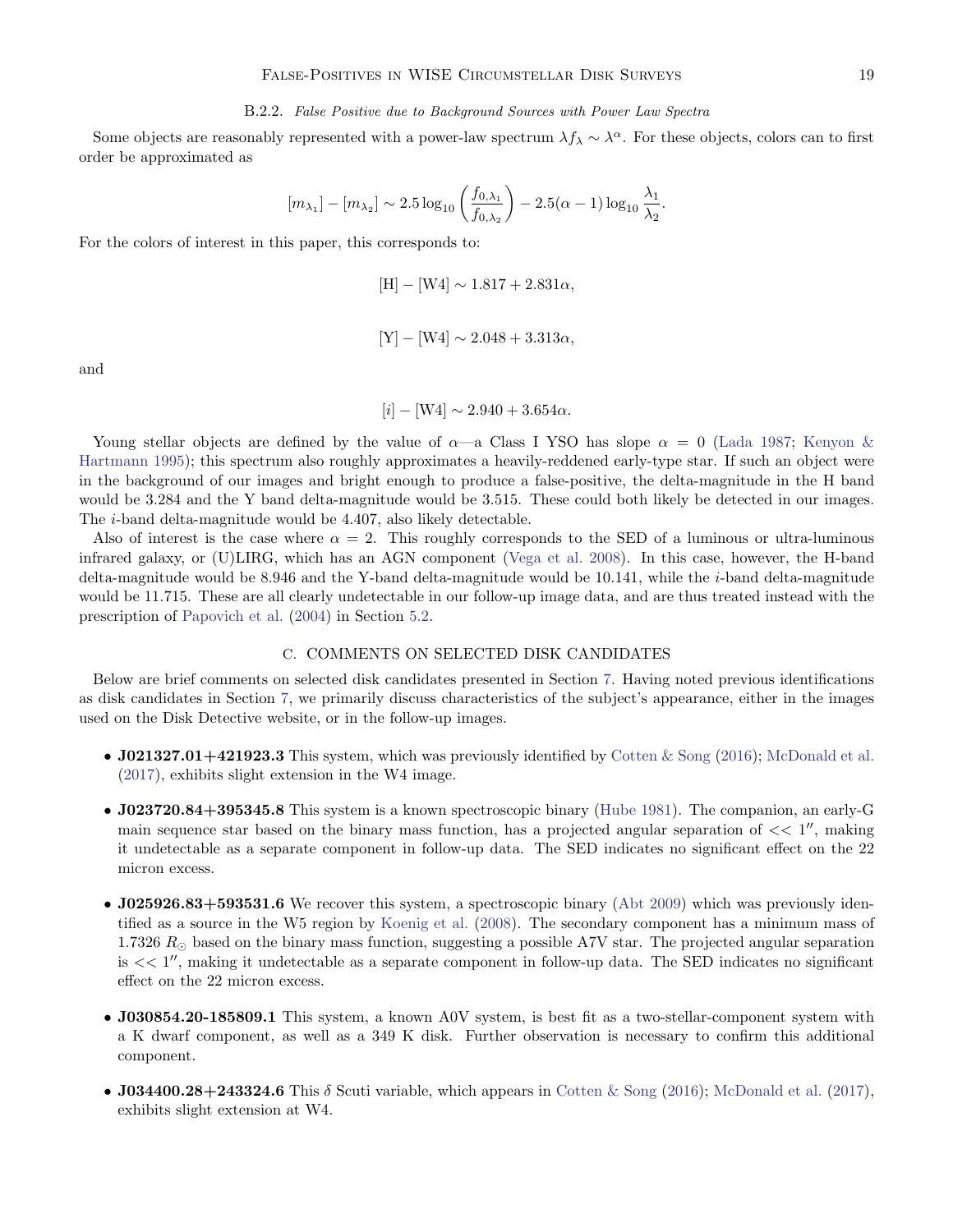## B.2.2. False Positive due to Background Sources with Power Law Spectra

Some objects are reasonably represented with a power-law spectrum  $\lambda f_\lambda \sim \lambda^\alpha$ . For these objects, colors can to first order be approximated as

$$
[m_{\lambda_1}] - [m_{\lambda_2}] \sim 2.5 \log_{10} \left( \frac{f_{0,\lambda_1}}{f_{0,\lambda_2}} \right) - 2.5(\alpha - 1) \log_{10} \frac{\lambda_1}{\lambda_2}.
$$

For the colors of interest in this paper, this corresponds to:

$$
[\text{H}] - [\text{W4}] \sim 1.817 + 2.831\alpha
$$

$$
[Y] - [W4] \sim 2.048 + 3.313\alpha,
$$

and

 $[i] - [W4] \sim 2.940 + 3.654\alpha.$ 

Young stellar objects are defined by the value of  $\alpha$ —a Class I YSO has slope  $\alpha = 0$  [\(Lada](#page-21-45) [1987;](#page-21-45) [Kenyon &](#page-20-42) [Hartmann](#page-20-42) [1995\)](#page-20-42); this spectrum also roughly approximates a heavily-reddened early-type star. If such an object were in the background of our images and bright enough to produce a false-positive, the delta-magnitude in the H band would be 3.284 and the Y band delta-magnitude would be 3.515. These could both likely be detected in our images. The i-band delta-magnitude would be 4.407, also likely detectable.

Also of interest is the case where  $\alpha = 2$ . This roughly corresponds to the SED of a luminous or ultra-luminous infrared galaxy, or (U)LIRG, which has an AGN component [\(Vega et al.](#page-21-46) [2008\)](#page-21-46). In this case, however, the H-band delta-magnitude would be 8.946 and the Y-band delta-magnitude would be 10.141, while the i-band delta-magnitude would be 11.715. These are all clearly undetectable in our follow-up image data, and are thus treated instead with the prescription of [Papovich et al.](#page-21-19) [\(2004\)](#page-21-19) in Section [5.2.](#page-5-2)

### C. COMMENTS ON SELECTED DISK CANDIDATES

<span id="page-18-0"></span>Below are brief comments on selected disk candidates presented in Section [7.](#page-9-0) Having noted previous identifications as disk candidates in Section [7,](#page-9-0) we primarily discuss characteristics of the subject's appearance, either in the images used on the Disk Detective website, or in the follow-up images.

- J021327.01+421923.3 This system, which was previously identified by [Cotten & Song](#page-20-1)  $(2016)$ ; [McDonald et al.](#page-21-1) [\(2017\)](#page-21-1), exhibits slight extension in the W4 image.
- J023720.84+395345.8 This system is a known spectroscopic binary [\(Hube](#page-20-43) [1981\)](#page-20-43). The companion, an early-G main sequence star based on the binary mass function, has a projected angular separation of  $<< 1''$ , making it undetectable as a separate component in follow-up data. The SED indicates no significant effect on the 22 micron excess.
- J025926.83+593531.6 We recover this system, a spectroscopic binary [\(Abt](#page-20-44) [2009\)](#page-20-44) which was previously identified as a source in the W5 region by [Koenig et al.](#page-21-47) [\(2008\)](#page-21-47). The secondary component has a minimum mass of 1.7326  $R_{\odot}$  based on the binary mass function, suggesting a possible A7V star. The projected angular separation is  $<< 1''$ , making it undetectable as a separate component in follow-up data. The SED indicates no significant effect on the 22 micron excess.
- J030854.20-185809.1 This system, a known A0V system, is best fit as a two-stellar-component system with a K dwarf component, as well as a 349 K disk. Further observation is necessary to confirm this additional component.
- J034400.28+243324.6 This  $\delta$  Scuti variable, which appears in [Cotten & Song](#page-20-1) [\(2016\)](#page-20-1); [McDonald et al.](#page-21-1) [\(2017\)](#page-21-1), exhibits slight extension at W4.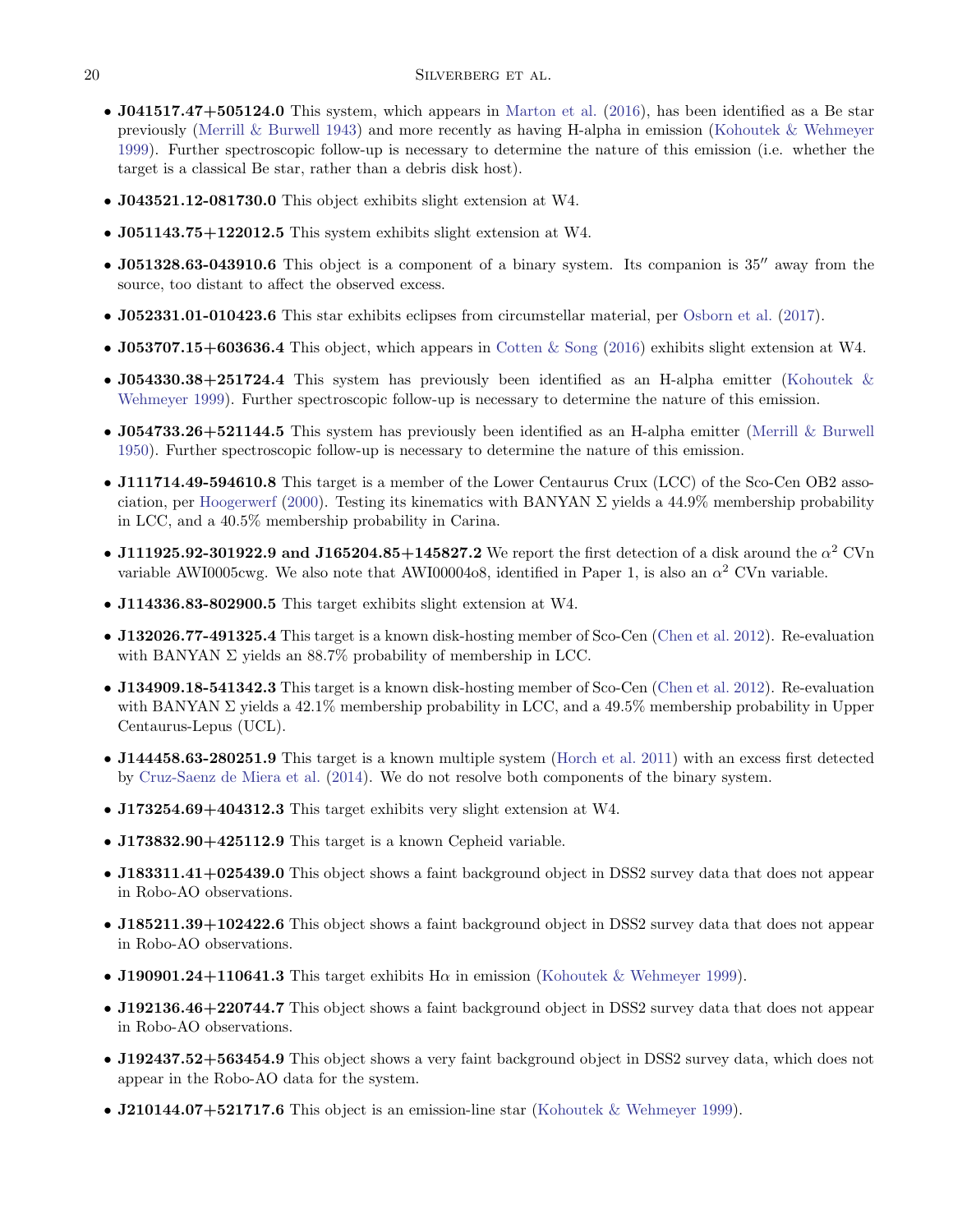- J041517.47+505124.0 This system, which appears in [Marton et al.](#page-21-2) [\(2016\)](#page-21-2), has been identified as a Be star previously [\(Merrill & Burwell](#page-21-48) [1943\)](#page-21-48) and more recently as having H-alpha in emission [\(Kohoutek & Wehmeyer](#page-21-49) [1999\)](#page-21-49). Further spectroscopic follow-up is necessary to determine the nature of this emission (i.e. whether the target is a classical Be star, rather than a debris disk host).
- J043521.12-081730.0 This object exhibits slight extension at W4.
- J051143.75+122012.5 This system exhibits slight extension at W4.
- $J051328.63-043910.6$  This object is a component of a binary system. Its companion is  $35''$  away from the source, too distant to affect the observed excess.
- J052331.01-010423.6 This star exhibits eclipses from circumstellar material, per [Osborn et al.](#page-21-50) [\(2017\)](#page-21-50).
- J053707.15+603636.4 This object, which appears in [Cotten & Song](#page-20-1) [\(2016\)](#page-20-1) exhibits slight extension at W4.
- J054330.38+251724.4 This system has previously been identified as an H-alpha emitter [\(Kohoutek &](#page-21-49) [Wehmeyer](#page-21-49) [1999\)](#page-21-49). Further spectroscopic follow-up is necessary to determine the nature of this emission.
- J054733.26+521144.5 This system has previously been identified as an H-alpha emitter [\(Merrill & Burwell](#page-21-51)) [1950\)](#page-21-51). Further spectroscopic follow-up is necessary to determine the nature of this emission.
- J111714.49-594610.8 This target is a member of the Lower Centaurus Crux (LCC) of the Sco-Cen OB2 asso-ciation, per [Hoogerwerf](#page-20-36) [\(2000\)](#page-20-36). Testing its kinematics with BANYAN  $\Sigma$  yields a 44.9% membership probability in LCC, and a 40.5% membership probability in Carina.
- J111925.92-301922.9 and J165204.85+145827.2 We report the first detection of a disk around the  $\alpha^2$  CVn variable AWI0005cwg. We also note that AWI00004o8, identified in Paper 1, is also an  $\alpha^2$  CVn variable.
- J114336.83-802900.5 This target exhibits slight extension at W4.
- J132026.77-491325.4 This target is a known disk-hosting member of Sco-Cen [\(Chen et al.](#page-20-28) [2012\)](#page-20-28). Re-evaluation with BANYAN  $\Sigma$  yields an 88.7% probability of membership in LCC.
- J134909.18-541342.3 This target is a known disk-hosting member of Sco-Cen [\(Chen et al.](#page-20-28) [2012\)](#page-20-28). Re-evaluation with BANYAN  $\Sigma$  yields a 42.1% membership probability in LCC, and a 49.5% membership probability in Upper Centaurus-Lepus (UCL).
- J144458.63-280251.9 This target is a known multiple system [\(Horch et al.](#page-20-45) [2011\)](#page-20-45) with an excess first detected by [Cruz-Saenz de Miera et al.](#page-20-7) [\(2014\)](#page-20-7). We do not resolve both components of the binary system.
- J173254.69+404312.3 This target exhibits very slight extension at W4.
- J173832.90+425112.9 This target is a known Cepheid variable.
- J183311.41+025439.0 This object shows a faint background object in DSS2 survey data that does not appear in Robo-AO observations.
- J185211.39+102422.6 This object shows a faint background object in DSS2 survey data that does not appear in Robo-AO observations.
- J190901.24+110641.3 This target exhibits  $H\alpha$  in emission [\(Kohoutek & Wehmeyer](#page-21-49) [1999\)](#page-21-49).
- J192136.46+220744.7 This object shows a faint background object in DSS2 survey data that does not appear in Robo-AO observations.
- J192437.52+563454.9 This object shows a very faint background object in DSS2 survey data, which does not appear in the Robo-AO data for the system.
- J210144.07+521717.6 This object is an emission-line star [\(Kohoutek & Wehmeyer](#page-21-49) [1999\)](#page-21-49).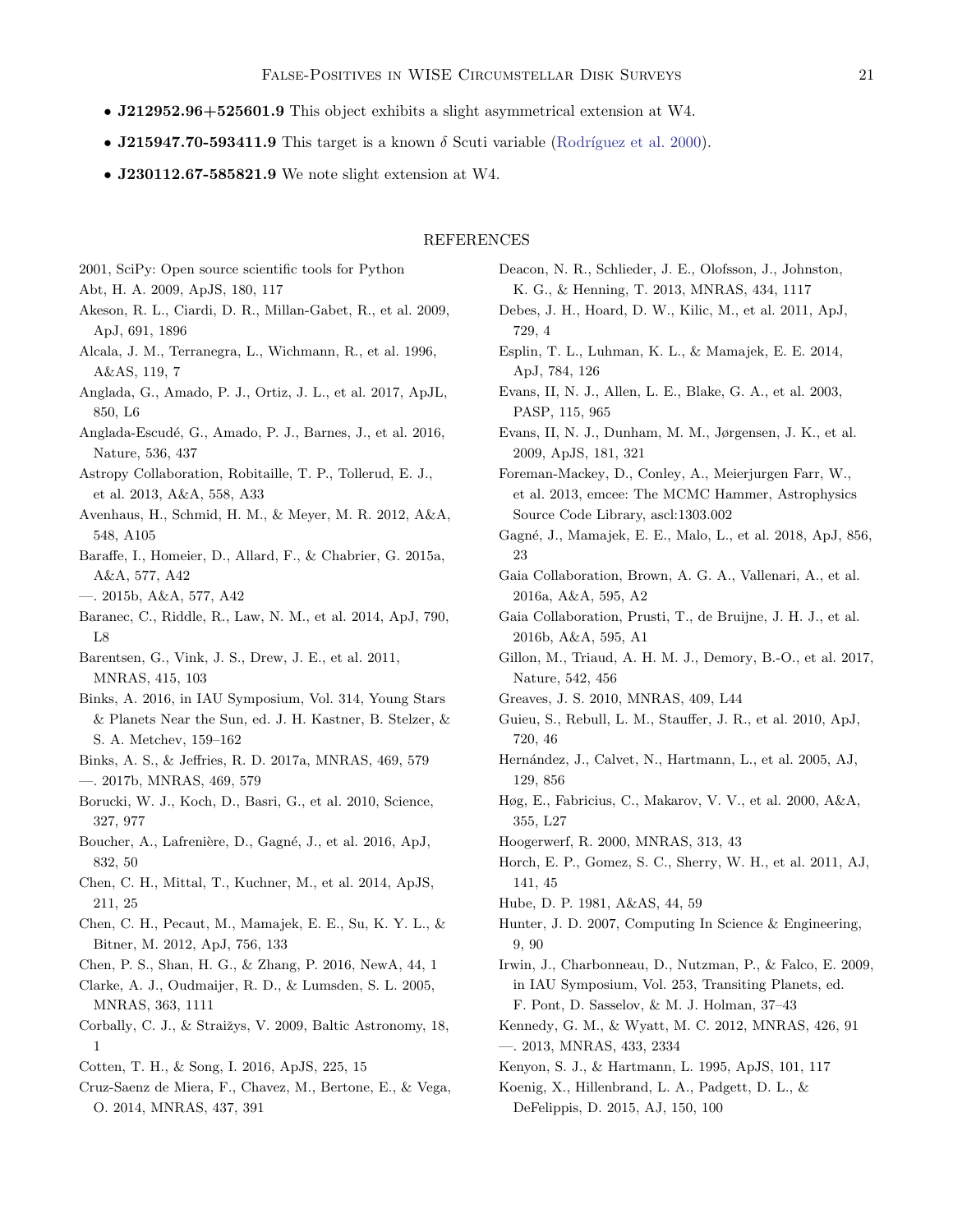- J212952.96+525601.9 This object exhibits a slight asymmetrical extension at W4.
- J215947.70-593411.9 This target is a known  $\delta$  Scuti variable (Rodríguez et al. [2000\)](#page-21-52).
- **J230112.67-585821.9** We note slight extension at W4.

### REFERENCES

<span id="page-20-44"></span><span id="page-20-38"></span>2001, SciPy: Open source scientific tools for Python

- Abt, H. A. 2009, ApJS, 180, 117
- <span id="page-20-33"></span>Akeson, R. L., Ciardi, D. R., Millan-Gabet, R., et al. 2009, ApJ, 691, 1896
- <span id="page-20-27"></span>Alcala, J. M., Terranegra, L., Wichmann, R., et al. 1996, A&AS, 119, 7
- <span id="page-20-15"></span>Anglada, G., Amado, P. J., Ortiz, J. L., et al. 2017, ApJL, 850, L6
- <span id="page-20-13"></span>Anglada-Escudé, G., Amado, P. J., Barnes, J., et al. 2016, Nature, 536, 437
- <span id="page-20-37"></span>Astropy Collaboration, Robitaille, T. P., Tollerud, E. J., et al. 2013, A&A, 558, A33
- <span id="page-20-3"></span>Avenhaus, H., Schmid, H. M., & Meyer, M. R. 2012, A&A, 548, A105
- <span id="page-20-20"></span>Baraffe, I., Homeier, D., Allard, F., & Chabrier, G. 2015a, A&A, 577, A42
- <span id="page-20-41"></span>—. 2015b, A&A, 577, A42
- <span id="page-20-9"></span>Baranec, C., Riddle, R., Law, N. M., et al. 2014, ApJ, 790, L8
- <span id="page-20-32"></span>Barentsen, G., Vink, J. S., Drew, J. E., et al. 2011, MNRAS, 415, 103
- <span id="page-20-40"></span>Binks, A. 2016, in IAU Symposium, Vol. 314, Young Stars & Planets Near the Sun, ed. J. H. Kastner, B. Stelzer, & S. A. Metchev, 159–162
- <span id="page-20-4"></span>Binks, A. S., & Jeffries, R. D. 2017a, MNRAS, 469, 579
- <span id="page-20-17"></span>—. 2017b, MNRAS, 469, 579
- <span id="page-20-8"></span>Borucki, W. J., Koch, D., Basri, G., et al. 2010, Science, 327, 977
- <span id="page-20-18"></span>Boucher, A., Lafrenière, D., Gagné, J., et al. 2016, ApJ, 832, 50
- <span id="page-20-29"></span>Chen, C. H., Mittal, T., Kuchner, M., et al. 2014, ApJS, 211, 25
- <span id="page-20-28"></span>Chen, C. H., Pecaut, M., Mamajek, E. E., Su, K. Y. L., & Bitner, M. 2012, ApJ, 756, 133
- <span id="page-20-22"></span>Chen, P. S., Shan, H. G., & Zhang, P. 2016, NewA, 44, 1
- <span id="page-20-10"></span>Clarke, A. J., Oudmaijer, R. D., & Lumsden, S. L. 2005, MNRAS, 363, 1111
- <span id="page-20-23"></span>Corbally, C. J., & Straižys, V. 2009, Baltic Astronomy, 18, 1
- <span id="page-20-1"></span>Cotten, T. H., & Song, I. 2016, ApJS, 225, 15
- <span id="page-20-7"></span>Cruz-Saenz de Miera, F., Chavez, M., Bertone, E., & Vega, O. 2014, MNRAS, 437, 391
- <span id="page-20-16"></span>Deacon, N. R., Schlieder, J. E., Olofsson, J., Johnston, K. G., & Henning, T. 2013, MNRAS, 434, 1117
- <span id="page-20-5"></span>Debes, J. H., Hoard, D. W., Kilic, M., et al. 2011, ApJ, 729, 4
- <span id="page-20-24"></span>Esplin, T. L., Luhman, K. L., & Mamajek, E. E. 2014, ApJ, 784, 126
- <span id="page-20-31"></span>Evans, II, N. J., Allen, L. E., Blake, G. A., et al. 2003, PASP, 115, 965
- <span id="page-20-30"></span>Evans, II, N. J., Dunham, M. M., Jørgensen, J. K., et al. 2009, ApJS, 181, 321
- <span id="page-20-21"></span>Foreman-Mackey, D., Conley, A., Meierjurgen Farr, W., et al. 2013, emcee: The MCMC Hammer, Astrophysics Source Code Library, ascl:1303.002
- <span id="page-20-35"></span>Gagné, J., Mamajek, E. E., Malo, L., et al. 2018, ApJ, 856, 23
- <span id="page-20-34"></span>Gaia Collaboration, Brown, A. G. A., Vallenari, A., et al. 2016a, A&A, 595, A2
- Gaia Collaboration, Prusti, T., de Bruijne, J. H. J., et al. 2016b, A&A, 595, A1
- <span id="page-20-14"></span>Gillon, M., Triaud, A. H. M. J., Demory, B.-O., et al. 2017, Nature, 542, 456
- <span id="page-20-25"></span><span id="page-20-19"></span>Greaves, J. S. 2010, MNRAS, 409, L44
- Guieu, S., Rebull, L. M., Stauffer, J. R., et al. 2010, ApJ, 720, 46
- <span id="page-20-26"></span>Hernández, J., Calvet, N., Hartmann, L., et al. 2005, AJ, 129, 856
- <span id="page-20-11"></span>Høg, E., Fabricius, C., Makarov, V. V., et al. 2000, A&A, 355, L27
- <span id="page-20-36"></span>Hoogerwerf, R. 2000, MNRAS, 313, 43
- <span id="page-20-45"></span>Horch, E. P., Gomez, S. C., Sherry, W. H., et al. 2011, AJ, 141, 45
- <span id="page-20-43"></span><span id="page-20-39"></span>Hube, D. P. 1981, A&AS, 44, 59
- Hunter, J. D. 2007, Computing In Science & Engineering, 9, 90
- <span id="page-20-12"></span>Irwin, J., Charbonneau, D., Nutzman, P., & Falco, E. 2009, in IAU Symposium, Vol. 253, Transiting Planets, ed. F. Pont, D. Sasselov, & M. J. Holman, 37–43
- <span id="page-20-6"></span><span id="page-20-0"></span>Kennedy, G. M., & Wyatt, M. C. 2012, MNRAS, 426, 91 —. 2013, MNRAS, 433, 2334
- <span id="page-20-42"></span>Kenyon, S. J., & Hartmann, L. 1995, ApJS, 101, 117
- <span id="page-20-2"></span>Koenig, X., Hillenbrand, L. A., Padgett, D. L., & DeFelippis, D. 2015, AJ, 150, 100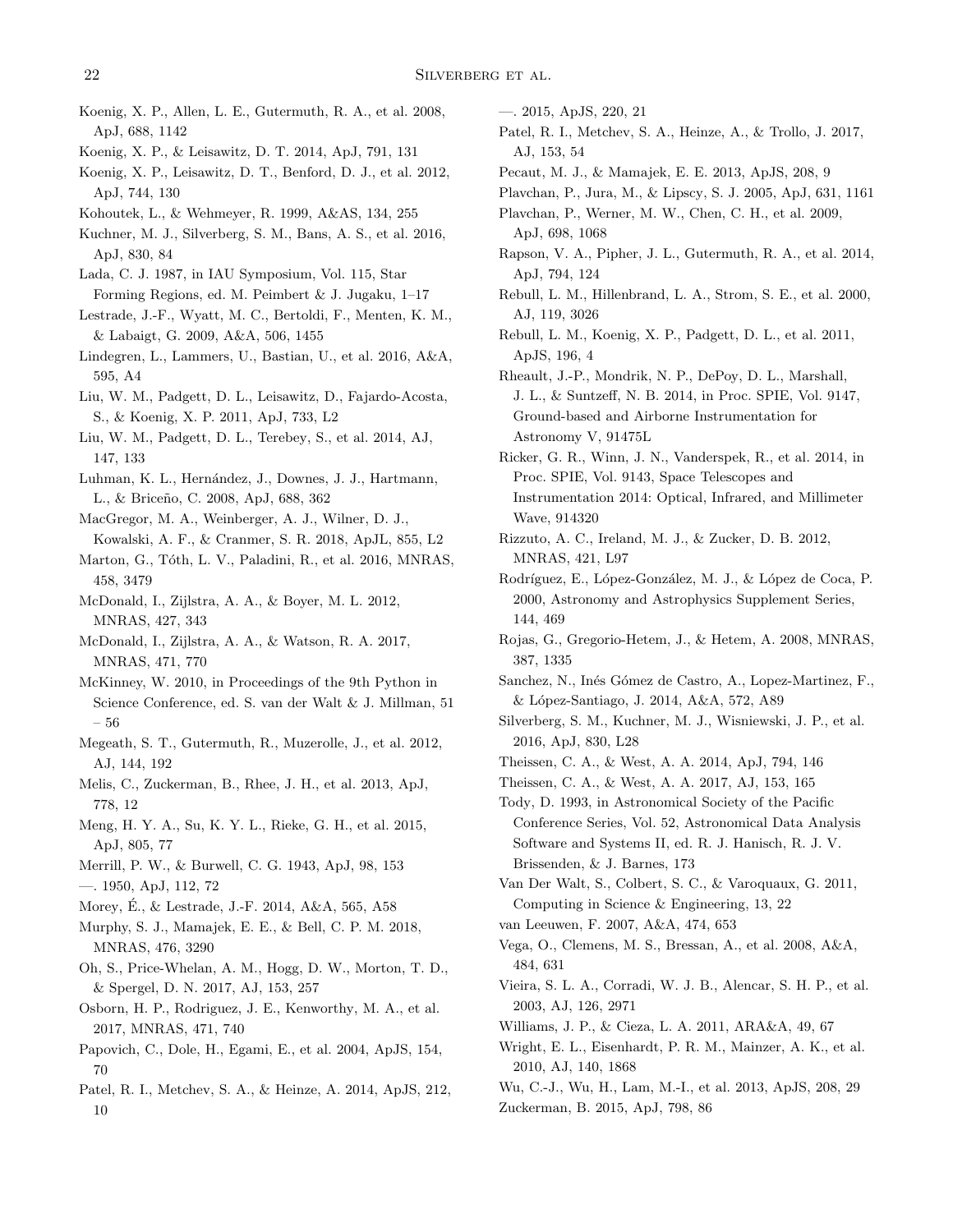- <span id="page-21-47"></span>Koenig, X. P., Allen, L. E., Gutermuth, R. A., et al. 2008, ApJ, 688, 1142
- <span id="page-21-11"></span>Koenig, X. P., & Leisawitz, D. T. 2014, ApJ, 791, 131
- <span id="page-21-16"></span>Koenig, X. P., Leisawitz, D. T., Benford, D. J., et al. 2012, ApJ, 744, 130
- <span id="page-21-49"></span>Kohoutek, L., & Wehmeyer, R. 1999, A&AS, 134, 255
- <span id="page-21-17"></span>Kuchner, M. J., Silverberg, S. M., Bans, A. S., et al. 2016, ApJ, 830, 84
- <span id="page-21-45"></span>Lada, C. J. 1987, in IAU Symposium, Vol. 115, Star Forming Regions, ed. M. Peimbert & J. Jugaku, 1–17
- <span id="page-21-14"></span>Lestrade, J.-F., Wyatt, M. C., Bertoldi, F., Menten, K. M., & Labaigt, G. 2009, A&A, 506, 1455
- <span id="page-21-39"></span>Lindegren, L., Lammers, U., Bastian, U., et al. 2016, A&A, 595, A4
- <span id="page-21-8"></span>Liu, W. M., Padgett, D. L., Leisawitz, D., Fajardo-Acosta, S., & Koenig, X. P. 2011, ApJ, 733, L2
- <span id="page-21-10"></span>Liu, W. M., Padgett, D. L., Terebey, S., et al. 2014, AJ, 147, 133
- <span id="page-21-32"></span>Luhman, K. L., Hernández, J., Downes, J. J., Hartmann, L., & Briceño, C. 2008, ApJ, 688, 362
- <span id="page-21-23"></span>MacGregor, M. A., Weinberger, A. J., Wilner, D. J., Kowalski, A. F., & Cranmer, S. R. 2018, ApJL, 855, L2
- <span id="page-21-2"></span>Marton, G., Tóth, L. V., Paladini, R., et al. 2016, MNRAS, 458, 3479
- <span id="page-21-0"></span>McDonald, I., Zijlstra, A. A., & Boyer, M. L. 2012, MNRAS, 427, 343
- <span id="page-21-1"></span>McDonald, I., Zijlstra, A. A., & Watson, R. A. 2017, MNRAS, 471, 770
- <span id="page-21-44"></span>McKinney, W. 2010, in Proceedings of the 9th Python in Science Conference, ed. S. van der Walt & J. Millman, 51 – 56
- <span id="page-21-31"></span>Megeath, S. T., Gutermuth, R., Muzerolle, J., et al. 2012, AJ, 144, 192
- <span id="page-21-35"></span>Melis, C., Zuckerman, B., Rhee, J. H., et al. 2013, ApJ, 778, 12
- <span id="page-21-36"></span>Meng, H. Y. A., Su, K. Y. L., Rieke, G. H., et al. 2015, ApJ, 805, 77
- <span id="page-21-51"></span><span id="page-21-48"></span>Merrill, P. W., & Burwell, C. G. 1943, ApJ, 98, 153 —. 1950, ApJ, 112, 72
- <span id="page-21-15"></span>Morey, E., & Lestrade, J.-F. 2014, A&A, 565, A58 ´
- <span id="page-21-40"></span>Murphy, S. J., Mamajek, E. E., & Bell, C. P. M. 2018, MNRAS, 476, 3290
- <span id="page-21-26"></span>Oh, S., Price-Whelan, A. M., Hogg, D. W., Morton, T. D., & Spergel, D. N. 2017, AJ, 153, 257
- <span id="page-21-50"></span>Osborn, H. P., Rodriguez, J. E., Kenworthy, M. A., et al. 2017, MNRAS, 471, 740
- <span id="page-21-19"></span>Papovich, C., Dole, H., Egami, E., et al. 2004, ApJS, 154, 70
- <span id="page-21-6"></span>Patel, R. I., Metchev, S. A., & Heinze, A. 2014, ApJS, 212, 10
- <span id="page-21-21"></span>—. 2015, ApJS, 220, 21
- <span id="page-21-7"></span>Patel, R. I., Metchev, S. A., Heinze, A., & Trollo, J. 2017, AJ, 153, 54
- <span id="page-21-25"></span>Pecaut, M. J., & Mamajek, E. E. 2013, ApJS, 208, 9
- <span id="page-21-12"></span>Plavchan, P., Jura, M., & Lipscy, S. J. 2005, ApJ, 631, 1161
- <span id="page-21-13"></span>Plavchan, P., Werner, M. W., Chen, C. H., et al. 2009, ApJ, 698, 1068
- <span id="page-21-33"></span>Rapson, V. A., Pipher, J. L., Gutermuth, R. A., et al. 2014, ApJ, 794, 124
- <span id="page-21-30"></span>Rebull, L. M., Hillenbrand, L. A., Strom, S. E., et al. 2000, AJ, 119, 3026
- <span id="page-21-9"></span>Rebull, L. M., Koenig, X. P., Padgett, D. L., et al. 2011, ApJS, 196, 4

<span id="page-21-18"></span>Rheault, J.-P., Mondrik, N. P., DePoy, D. L., Marshall, J. L., & Suntzeff, N. B. 2014, in Proc. SPIE, Vol. 9147, Ground-based and Airborne Instrumentation for Astronomy V, 91475L

- <span id="page-21-22"></span>Ricker, G. R., Winn, J. N., Vanderspek, R., et al. 2014, in Proc. SPIE, Vol. 9143, Space Telescopes and Instrumentation 2014: Optical, Infrared, and Millimeter Wave, 914320
- <span id="page-21-34"></span>Rizzuto, A. C., Ireland, M. J., & Zucker, D. B. 2012, MNRAS, 421, L97
- <span id="page-21-52"></span>Rodríguez, E., López-González, M. J., & López de Coca, P. 2000, Astronomy and Astrophysics Supplement Series, 144, 469
- <span id="page-21-28"></span>Rojas, G., Gregorio-Hetem, J., & Hetem, A. 2008, MNRAS, 387, 1335
- <span id="page-21-29"></span>Sanchez, N., Inés Gómez de Castro, A., Lopez-Martinez, F., & L´opez-Santiago, J. 2014, A&A, 572, A89
- <span id="page-21-24"></span>Silverberg, S. M., Kuchner, M. J., Wisniewski, J. P., et al. 2016, ApJ, 830, L28
- <span id="page-21-3"></span>Theissen, C. A., & West, A. A. 2014, ApJ, 794, 146
- <span id="page-21-37"></span>Theissen, C. A., & West, A. A. 2017, AJ, 153, 165

<span id="page-21-42"></span>Tody, D. 1993, in Astronomical Society of the Pacific Conference Series, Vol. 52, Astronomical Data Analysis Software and Systems II, ed. R. J. Hanisch, R. J. V. Brissenden, & J. Barnes, 173

- <span id="page-21-43"></span>Van Der Walt, S., Colbert, S. C., & Varoquaux, G. 2011, Computing in Science & Engineering, 13, 22
- <span id="page-21-20"></span>van Leeuwen, F. 2007, A&A, 474, 653
- <span id="page-21-46"></span>Vega, O., Clemens, M. S., Bressan, A., et al. 2008, A&A, 484, 631
- <span id="page-21-27"></span>Vieira, S. L. A., Corradi, W. J. B., Alencar, S. H. P., et al. 2003, AJ, 126, 2971
- <span id="page-21-41"></span>Williams, J. P., & Cieza, L. A. 2011, ARA&A, 49, 67
- <span id="page-21-4"></span>Wright, E. L., Eisenhardt, P. R. M., Mainzer, A. K., et al. 2010, AJ, 140, 1868
- <span id="page-21-5"></span>Wu, C.-J., Wu, H., Lam, M.-I., et al. 2013, ApJS, 208, 29
- <span id="page-21-38"></span>Zuckerman, B. 2015, ApJ, 798, 86